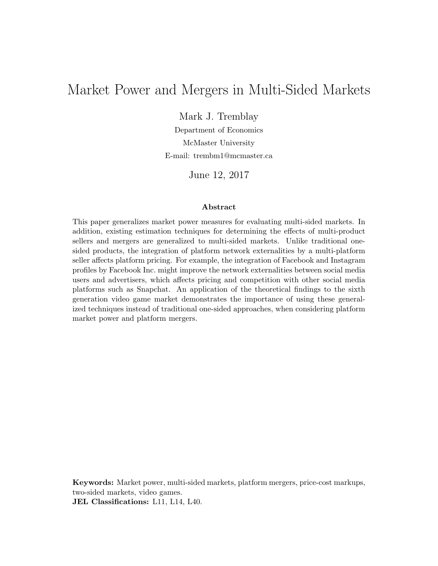# <span id="page-0-0"></span>Market Power and Mergers in Multi-Sided Markets

Mark J. Tremblay

Department of Economics McMaster University E-mail: trembm1@mcmaster.ca

June 12, 2017

#### Abstract

This paper generalizes market power measures for evaluating multi-sided markets. In addition, existing estimation techniques for determining the effects of multi-product sellers and mergers are generalized to multi-sided markets. Unlike traditional onesided products, the integration of platform network externalities by a multi-platform seller affects platform pricing. For example, the integration of Facebook and Instagram profiles by Facebook Inc. might improve the network externalities between social media users and advertisers, which affects pricing and competition with other social media platforms such as Snapchat. An application of the theoretical findings to the sixth generation video game market demonstrates the importance of using these generalized techniques instead of traditional one-sided approaches, when considering platform market power and platform mergers.

Keywords: Market power, multi-sided markets, platform mergers, price-cost markups, two-sided markets, video games. JEL Classifications: L11, L14, L40.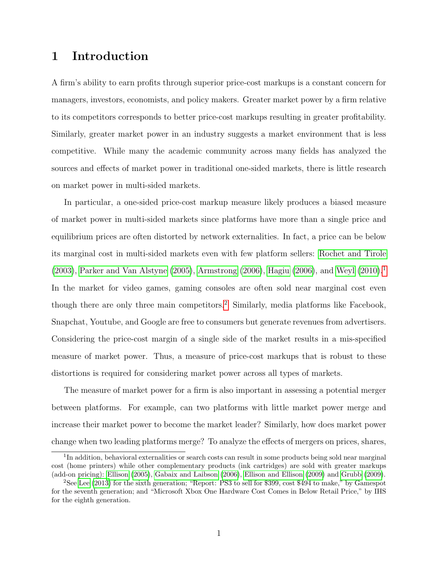## 1 Introduction

A firm's ability to earn profits through superior price-cost markups is a constant concern for managers, investors, economists, and policy makers. Greater market power by a firm relative to its competitors corresponds to better price-cost markups resulting in greater profitability. Similarly, greater market power in an industry suggests a market environment that is less competitive. While many the academic community across many fields has analyzed the sources and effects of market power in traditional one-sided markets, there is little research on market power in multi-sided markets.

In particular, a one-sided price-cost markup measure likely produces a biased measure of market power in multi-sided markets since platforms have more than a single price and equilibrium prices are often distorted by network externalities. In fact, a price can be below its marginal cost in multi-sided markets even with few platform sellers: [Rochet and Tirole](#page-43-0) [\(2003\)](#page-43-0), [Parker and Van Alstyne](#page-42-0) [\(2005\)](#page-42-0), [Armstrong](#page-39-0) [\(2006\)](#page-39-0), [Hagiu](#page-42-1) [\(2006\)](#page-42-1), and [Weyl](#page-43-1) [\(2010\)](#page-43-1).[1](#page-0-0) In the market for video games, gaming consoles are often sold near marginal cost even though there are only three main competitors.<sup>[2](#page-0-0)</sup> Similarly, media platforms like Facebook, Snapchat, Youtube, and Google are free to consumers but generate revenues from advertisers. Considering the price-cost margin of a single side of the market results in a mis-specified measure of market power. Thus, a measure of price-cost markups that is robust to these distortions is required for considering market power across all types of markets.

The measure of market power for a firm is also important in assessing a potential merger between platforms. For example, can two platforms with little market power merge and increase their market power to become the market leader? Similarly, how does market power change when two leading platforms merge? To analyze the effects of mergers on prices, shares,

<sup>&</sup>lt;sup>1</sup>In addition, behavioral externalities or search costs can result in some products being sold near marginal cost (home printers) while other complementary products (ink cartridges) are sold with greater markups (add-on pricing): [Ellison](#page-40-0) [\(2005\)](#page-40-0), [Gabaix and Laibson](#page-41-0) [\(2006\)](#page-41-0), [Ellison and Ellison](#page-40-1) [\(2009\)](#page-40-1) and [Grubb](#page-42-2) [\(2009\)](#page-42-2).

<sup>2</sup>See [Lee](#page-42-3) [\(2013\)](#page-42-3) for the sixth generation; "Report: PS3 to sell for \$399, cost \$494 to make," by Gamespot for the seventh generation; and "Microsoft Xbox One Hardware Cost Comes in Below Retail Price," by IHS for the eighth generation.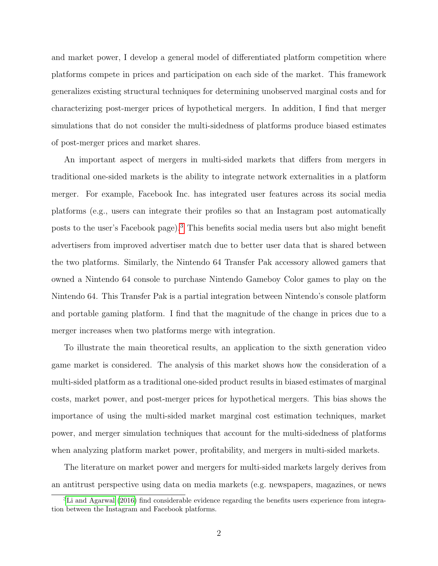and market power, I develop a general model of differentiated platform competition where platforms compete in prices and participation on each side of the market. This framework generalizes existing structural techniques for determining unobserved marginal costs and for characterizing post-merger prices of hypothetical mergers. In addition, I find that merger simulations that do not consider the multi-sidedness of platforms produce biased estimates of post-merger prices and market shares.

An important aspect of mergers in multi-sided markets that differs from mergers in traditional one-sided markets is the ability to integrate network externalities in a platform merger. For example, Facebook Inc. has integrated user features across its social media platforms (e.g., users can integrate their profiles so that an Instagram post automatically posts to the user's Facebook page).[3](#page-0-0) This benefits social media users but also might benefit advertisers from improved advertiser match due to better user data that is shared between the two platforms. Similarly, the Nintendo 64 Transfer Pak accessory allowed gamers that owned a Nintendo 64 console to purchase Nintendo Gameboy Color games to play on the Nintendo 64. This Transfer Pak is a partial integration between Nintendo's console platform and portable gaming platform. I find that the magnitude of the change in prices due to a merger increases when two platforms merge with integration.

To illustrate the main theoretical results, an application to the sixth generation video game market is considered. The analysis of this market shows how the consideration of a multi-sided platform as a traditional one-sided product results in biased estimates of marginal costs, market power, and post-merger prices for hypothetical mergers. This bias shows the importance of using the multi-sided market marginal cost estimation techniques, market power, and merger simulation techniques that account for the multi-sidedness of platforms when analyzing platform market power, profitability, and mergers in multi-sided markets.

The literature on market power and mergers for multi-sided markets largely derives from an antitrust perspective using data on media markets (e.g. newspapers, magazines, or news

<sup>&</sup>lt;sup>3</sup>[Li and Agarwal](#page-42-4) [\(2016\)](#page-42-4) find considerable evidence regarding the benefits users experience from integration between the Instagram and Facebook platforms.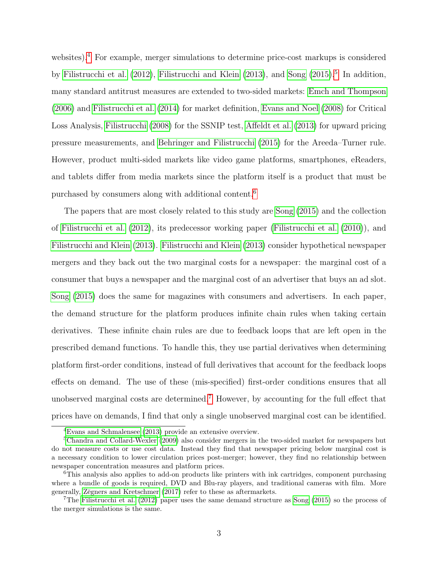websites).<sup>[4](#page-0-0)</sup> For example, merger simulations to determine price-cost markups is considered by [Filistrucchi et al.](#page-41-1)  $(2012)$ , [Filistrucchi and Klein](#page-41-2)  $(2013)$ , and [Song](#page-43-2)  $(2015)$ <sup>[5](#page-0-0)</sup> In addition, many standard antitrust measures are extended to two-sided markets: [Emch and Thompson](#page-40-2) [\(2006\)](#page-40-2) and [Filistrucchi et al.](#page-41-3) [\(2014\)](#page-41-3) for market definition, [Evans and Noel](#page-41-4) [\(2008\)](#page-41-4) for Critical Loss Analysis, [Filistrucchi](#page-41-5) [\(2008\)](#page-41-5) for the SSNIP test, [Affeldt et al.](#page-39-1) [\(2013\)](#page-39-1) for upward pricing pressure measurements, and [Behringer and Filistrucchi](#page-39-2) [\(2015\)](#page-39-2) for the Areeda–Turner rule. However, product multi-sided markets like video game platforms, smartphones, eReaders, and tablets differ from media markets since the platform itself is a product that must be purchased by consumers along with additional content.[6](#page-0-0)

The papers that are most closely related to this study are [Song](#page-43-2) [\(2015\)](#page-43-2) and the collection of [Filistrucchi et al.](#page-41-1) [\(2012\)](#page-41-1), its predecessor working paper [\(Filistrucchi et al.](#page-41-6) [\(2010\)](#page-41-6)), and [Filistrucchi and Klein](#page-41-2) [\(2013\)](#page-41-2). [Filistrucchi and Klein](#page-41-2) [\(2013\)](#page-41-2) consider hypothetical newspaper mergers and they back out the two marginal costs for a newspaper: the marginal cost of a consumer that buys a newspaper and the marginal cost of an advertiser that buys an ad slot. [Song](#page-43-2) [\(2015\)](#page-43-2) does the same for magazines with consumers and advertisers. In each paper, the demand structure for the platform produces infinite chain rules when taking certain derivatives. These infinite chain rules are due to feedback loops that are left open in the prescribed demand functions. To handle this, they use partial derivatives when determining platform first-order conditions, instead of full derivatives that account for the feedback loops effects on demand. The use of these (mis-specified) first-order conditions ensures that all unobserved marginal costs are determined.<sup>[7](#page-0-0)</sup> However, by accounting for the full effect that prices have on demands, I find that only a single unobserved marginal cost can be identified.

<sup>4</sup>[Evans and Schmalensee](#page-41-7) [\(2013\)](#page-41-7) provide an extensive overview.

<sup>5</sup>[Chandra and Collard-Wexler](#page-40-3) [\(2009\)](#page-40-3) also consider mergers in the two-sided market for newspapers but do not measure costs or use cost data. Instead they find that newspaper pricing below marginal cost is a necessary condition to lower circulation prices post-merger; however, they find no relationship between newspaper concentration measures and platform prices.

<sup>6</sup>This analysis also applies to add-on products like printers with ink cartridges, component purchasing where a bundle of goods is required, DVD and Blu-ray players, and traditional cameras with film. More generally, Zegners and Kretschmer [\(2017\)](#page-43-3) refer to these as aftermarkets.

<sup>7</sup>The [Filistrucchi et al.](#page-41-1) [\(2012\)](#page-41-1) paper uses the same demand structure as [Song](#page-43-2) [\(2015\)](#page-43-2) so the process of the merger simulations is the same.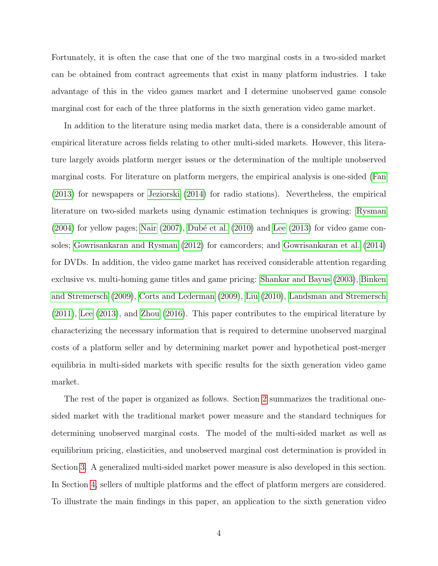Fortunately, it is often the case that one of the two marginal costs in a two-sided market can be obtained from contract agreements that exist in many platform industries. I take advantage of this in the video games market and I determine unobserved game console marginal cost for each of the three platforms in the sixth generation video game market.

In addition to the literature using media market data, there is a considerable amount of empirical literature across fields relating to other multi-sided markets. However, this literature largely avoids platform merger issues or the determination of the multiple unobserved marginal costs. For literature on platform mergers, the empirical analysis is one-sided [\(Fan](#page-41-8) [\(2013\)](#page-41-8) for newspapers or [Jeziorski](#page-42-5) [\(2014\)](#page-42-5) for radio stations). Nevertheless, the empirical literature on two-sided markets using dynamic estimation techniques is growing: [Rysman](#page-43-4)  $(2004)$  for yellow pages; [Nair](#page-42-6)  $(2007)$ , Dubé et al.  $(2010)$  and [Lee](#page-42-3)  $(2013)$  for video game consoles; [Gowrisankaran and Rysman](#page-41-9) [\(2012\)](#page-41-9) for camcorders; and [Gowrisankaran et al.](#page-41-10) [\(2014\)](#page-41-10) for DVDs. In addition, the video game market has received considerable attention regarding exclusive vs. multi-homing game titles and game pricing: [Shankar and Bayus](#page-43-5) [\(2003\)](#page-43-5), [Binken](#page-40-5) [and Stremersch](#page-40-5) [\(2009\)](#page-40-5), [Corts and Lederman](#page-40-6) [\(2009\)](#page-40-6), [Liu](#page-42-7) [\(2010\)](#page-42-7), [Landsman and Stremersch](#page-42-8) [\(2011\)](#page-42-8), [Lee](#page-42-3) [\(2013\)](#page-42-3), and [Zhou](#page-43-6) [\(2016\)](#page-43-6). This paper contributes to the empirical literature by characterizing the necessary information that is required to determine unobserved marginal costs of a platform seller and by determining market power and hypothetical post-merger equilibria in multi-sided markets with specific results for the sixth generation video game market.

The rest of the paper is organized as follows. Section [2](#page-5-0) summarizes the traditional onesided market with the traditional market power measure and the standard techniques for determining unobserved marginal costs. The model of the multi-sided market as well as equilibrium pricing, elasticities, and unobserved marginal cost determination is provided in Section [3.](#page-6-0) A generalized multi-sided market power measure is also developed in this section. In Section [4,](#page-15-0) sellers of multiple platforms and the effect of platform mergers are considered. To illustrate the main findings in this paper, an application to the sixth generation video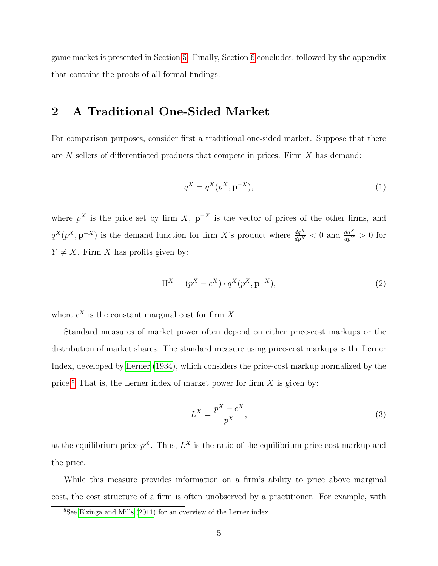game market is presented in Section [5.](#page-19-0) Finally, Section [6](#page-30-0) concludes, followed by the appendix that contains the proofs of all formal findings.

## <span id="page-5-0"></span>2 A Traditional One-Sided Market

For comparison purposes, consider first a traditional one-sided market. Suppose that there are  $N$  sellers of differentiated products that compete in prices. Firm  $X$  has demand:

$$
q^X = q^X(p^X, \mathbf{p}^{-X}),\tag{1}
$$

where  $p^X$  is the price set by firm X,  $p^{-X}$  is the vector of prices of the other firms, and  $q^X(p^X, \mathbf{p}^{-X})$  is the demand function for firm X's product where  $\frac{dq^X}{dp^X} < 0$  and  $\frac{dq^X}{dp^Y} > 0$  for  $Y \neq X$ . Firm X has profits given by:

$$
\Pi^X = (p^X - c^X) \cdot q^X (p^X, \mathbf{p}^{-X}), \tag{2}
$$

where  $c^X$  is the constant marginal cost for firm X.

Standard measures of market power often depend on either price-cost markups or the distribution of market shares. The standard measure using price-cost markups is the Lerner Index, developed by [Lerner](#page-42-9) [\(1934\)](#page-42-9), which considers the price-cost markup normalized by the price.<sup>[8](#page-0-0)</sup> That is, the Lerner index of market power for firm  $X$  is given by:

$$
L^X = \frac{p^X - c^X}{p^X},\tag{3}
$$

at the equilibrium price  $p^X$ . Thus,  $L^X$  is the ratio of the equilibrium price-cost markup and the price.

While this measure provides information on a firm's ability to price above marginal cost, the cost structure of a firm is often unobserved by a practitioner. For example, with

<sup>8</sup>See [Elzinga and Mills](#page-40-7) [\(2011\)](#page-40-7) for an overview of the Lerner index.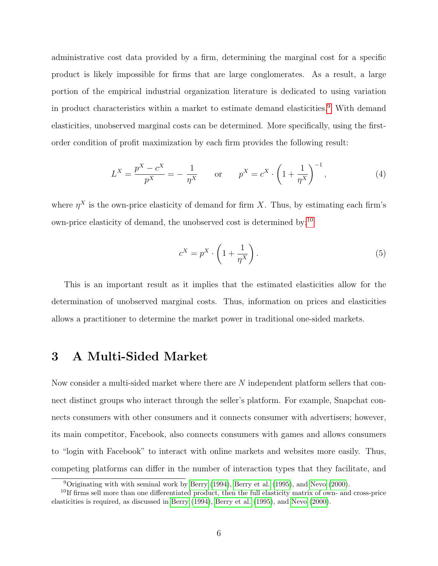administrative cost data provided by a firm, determining the marginal cost for a specific product is likely impossible for firms that are large conglomerates. As a result, a large portion of the empirical industrial organization literature is dedicated to using variation in product characteristics within a market to estimate demand elasticities.[9](#page-0-0) With demand elasticities, unobserved marginal costs can be determined. More specifically, using the firstorder condition of profit maximization by each firm provides the following result:

$$
L^{X} = \frac{p^{X} - c^{X}}{p^{X}} = -\frac{1}{\eta^{X}} \quad \text{or} \quad p^{X} = c^{X} \cdot \left(1 + \frac{1}{\eta^{X}}\right)^{-1}, \tag{4}
$$

where  $\eta^X$  is the own-price elasticity of demand for firm X. Thus, by estimating each firm's own-price elasticity of demand, the unobserved cost is determined by:[10](#page-0-0)

<span id="page-6-1"></span>
$$
c^X = p^X \cdot \left(1 + \frac{1}{\eta^X}\right). \tag{5}
$$

This is an important result as it implies that the estimated elasticities allow for the determination of unobserved marginal costs. Thus, information on prices and elasticities allows a practitioner to determine the market power in traditional one-sided markets.

## <span id="page-6-0"></span>3 A Multi-Sided Market

Now consider a multi-sided market where there are N independent platform sellers that connect distinct groups who interact through the seller's platform. For example, Snapchat connects consumers with other consumers and it connects consumer with advertisers; however, its main competitor, Facebook, also connects consumers with games and allows consumers to "login with Facebook" to interact with online markets and websites more easily. Thus, competing platforms can differ in the number of interaction types that they facilitate, and

 $^{9}$ Originating with with seminal work by [Berry](#page-39-3) [\(1994\)](#page-39-3), [Berry et al.](#page-39-4) [\(1995\)](#page-39-4), and [Nevo](#page-42-10) [\(2000\)](#page-42-10).

<sup>&</sup>lt;sup>10</sup>If firms sell more than one differentiated product, then the full elasticity matrix of own- and cross-price elasticities is required, as discussed in [Berry](#page-39-3) [\(1994\)](#page-39-3), [Berry et al.](#page-39-4) [\(1995\)](#page-39-4), and [Nevo](#page-42-10) [\(2000\)](#page-42-10).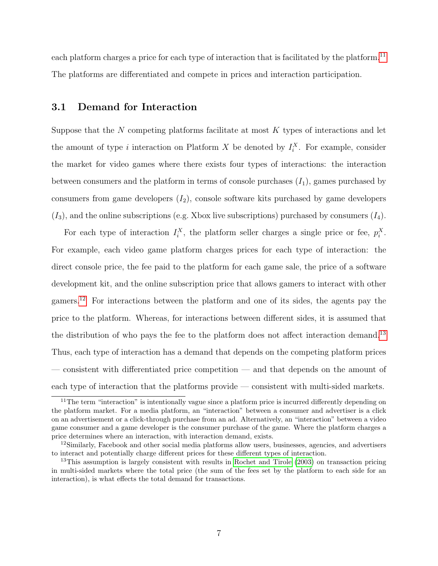each platform charges a price for each type of interaction that is facilitated by the platform.<sup>[11](#page-0-0)</sup> The platforms are differentiated and compete in prices and interaction participation.

#### 3.1 Demand for Interaction

Suppose that the  $N$  competing platforms facilitate at most  $K$  types of interactions and let the amount of type i interaction on Platform X be denoted by  $I_i^X$ . For example, consider the market for video games where there exists four types of interactions: the interaction between consumers and the platform in terms of console purchases  $(I_1)$ , games purchased by consumers from game developers  $(I_2)$ , console software kits purchased by game developers  $(I_3)$ , and the online subscriptions (e.g. Xbox live subscriptions) purchased by consumers  $(I_4)$ .

For each type of interaction  $I_i^X$ , the platform seller charges a single price or fee,  $p_i^X$ . For example, each video game platform charges prices for each type of interaction: the direct console price, the fee paid to the platform for each game sale, the price of a software development kit, and the online subscription price that allows gamers to interact with other gamers.[12](#page-0-0) For interactions between the platform and one of its sides, the agents pay the price to the platform. Whereas, for interactions between different sides, it is assumed that the distribution of who pays the fee to the platform does not affect interaction demand.<sup>[13](#page-0-0)</sup> Thus, each type of interaction has a demand that depends on the competing platform prices — consistent with differentiated price competition — and that depends on the amount of each type of interaction that the platforms provide — consistent with multi-sided markets.

<sup>&</sup>lt;sup>11</sup>The term "interaction" is intentionally vague since a platform price is incurred differently depending on the platform market. For a media platform, an "interaction" between a consumer and advertiser is a click on an advertisement or a click-through purchase from an ad. Alternatively, an "interaction" between a video game consumer and a game developer is the consumer purchase of the game. Where the platform charges a price determines where an interaction, with interaction demand, exists.

<sup>&</sup>lt;sup>12</sup>Similarly, Facebook and other social media platforms allow users, businesses, agencies, and advertisers to interact and potentially charge different prices for these different types of interaction.

<sup>&</sup>lt;sup>13</sup>This assumption is largely consistent with results in [Rochet and Tirole](#page-43-0) [\(2003\)](#page-43-0) on transaction pricing in multi-sided markets where the total price (the sum of the fees set by the platform to each side for an interaction), is what effects the total demand for transactions.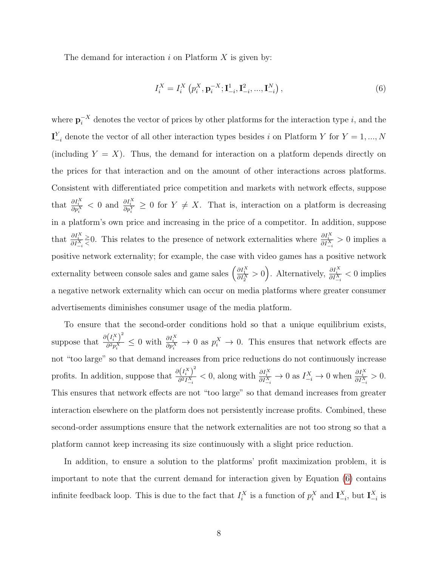The demand for interaction i on Platform  $X$  is given by:

<span id="page-8-0"></span>
$$
I_i^X = I_i^X \left( p_i^X, \mathbf{p}_i^{-X}; \mathbf{I}_{-i}^1, \mathbf{I}_{-i}^2, ..., \mathbf{I}_{-i}^N \right), \tag{6}
$$

where  $\mathbf{p}_i^{-X}$  denotes the vector of prices by other platforms for the interaction type i, and the  $\mathbf{I}_{-i}^{Y}$  denote the vector of all other interaction types besides i on Platform Y for  $Y = 1, ..., N$ (including  $Y = X$ ). Thus, the demand for interaction on a platform depends directly on the prices for that interaction and on the amount of other interactions across platforms. Consistent with differentiated price competition and markets with network effects, suppose that  $\frac{\partial I_i^X}{\partial p_i^X}$  < 0 and  $\frac{\partial I_i^X}{\partial p_i^Y}$   $\geq$  0 for  $Y \neq X$ . That is, interaction on a platform is decreasing in a platform's own price and increasing in the price of a competitor. In addition, suppose that  $\frac{\partial I_i^X}{\partial I_{-i}^X}$ >  $\geq$ 0. This relates to the presence of network externalities where  $\frac{\partial I_i^X}{\partial I^X_{-i}} > 0$  implies a positive network externality; for example, the case with video games has a positive network externality between console sales and game sales  $\left(\frac{\partial I_1^X}{\partial I_2^X} > 0\right)$ . Alternatively,  $\frac{\partial I_i^X}{\partial I_{-i}^X} < 0$  implies a negative network externality which can occur on media platforms where greater consumer advertisements diminishes consumer usage of the media platform.

To ensure that the second-order conditions hold so that a unique equilibrium exists, suppose that  $\frac{\partial (I_i^X)^2}{\partial^2 X}$  $\frac{(I_i^X)^2}{\partial^2 p_i^X} \leq 0$  with  $\frac{\partial I_i^X}{\partial p_i^X} \to 0$  as  $p_i^X \to 0$ . This ensures that network effects are not "too large" so that demand increases from price reductions do not continuously increase profits. In addition, suppose that  $\frac{\partial (I_i^X)^2}{\partial 2I^X}$  $\frac{\partial I_i^X}{\partial^2 I_{-i}^X}$  < 0, along with  $\frac{\partial I_i^X}{\partial I_{-i}^X}$   $\to$  0 as  $I_{-i}^X$   $\to$  0 when  $\frac{\partial I_i^X}{\partial I_{-i}^X}$   $>$  0. This ensures that network effects are not "too large" so that demand increases from greater interaction elsewhere on the platform does not persistently increase profits. Combined, these second-order assumptions ensure that the network externalities are not too strong so that a platform cannot keep increasing its size continuously with a slight price reduction.

In addition, to ensure a solution to the platforms' profit maximization problem, it is important to note that the current demand for interaction given by Equation [\(6\)](#page-8-0) contains infinite feedback loop. This is due to the fact that  $I_i^X$  is a function of  $p_i^X$  and  $\mathbf{I}_{-i}^X$ , but  $\mathbf{I}_{-i}^X$  is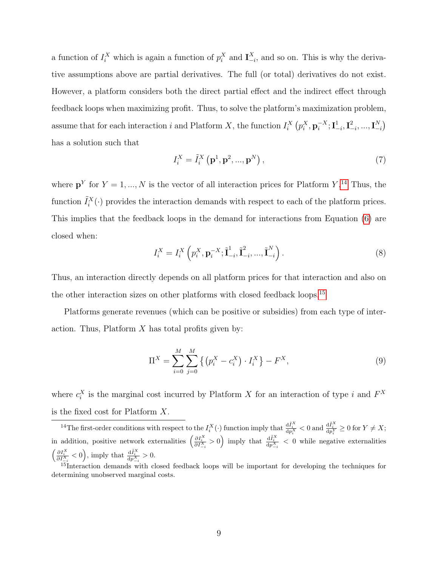a function of  $I_i^X$  which is again a function of  $p_i^X$  and  $\mathbf{I}_{-i}^X$ , and so on. This is why the derivative assumptions above are partial derivatives. The full (or total) derivatives do not exist. However, a platform considers both the direct partial effect and the indirect effect through feedback loops when maximizing profit. Thus, to solve the platform's maximization problem, assume that for each interaction i and Platform X, the function  $I_i^X(p_i^X, \mathbf{p}_i^{-X})$  $\{\mathbf{I}_{-i}^{1}, \mathbf{I}_{-i}^{1}, \mathbf{I}_{-i}^{2},..., \mathbf{I}_{-i}^{N}\}$ has a solution such that

<span id="page-9-2"></span>
$$
I_i^X = \tilde{I}_i^X \left( \mathbf{p}^1, \mathbf{p}^2, ..., \mathbf{p}^N \right), \tag{7}
$$

where  $\mathbf{p}^Y$  for  $Y = 1, ..., N$  is the vector of all interaction prices for Platform Y.<sup>[14](#page-0-0)</sup> Thus, the function  $\tilde{I}_i^X(\cdot)$  provides the interaction demands with respect to each of the platform prices. This implies that the feedback loops in the demand for interactions from Equation [\(6\)](#page-8-0) are closed when:

<span id="page-9-0"></span>
$$
I_i^X = I_i^X \left( p_i^X, \mathbf{p}_i^{-X}; \tilde{\mathbf{I}}_{-i}^1, \tilde{\mathbf{I}}_{-i}^2, ..., \tilde{\mathbf{I}}_{-i}^N \right).
$$
\n
$$
(8)
$$

Thus, an interaction directly depends on all platform prices for that interaction and also on the other interaction sizes on other platforms with closed feedback loops.[15](#page-0-0)

Platforms generate revenues (which can be positive or subsidies) from each type of interaction. Thus, Platform  $X$  has total profits given by:

<span id="page-9-1"></span>
$$
\Pi^{X} = \sum_{i=0}^{M} \sum_{j=0}^{M} \left\{ \left( p_i^{X} - c_i^{X} \right) \cdot I_i^{X} \right\} - F^{X}, \tag{9}
$$

where  $c_i^X$  is the marginal cost incurred by Platform X for an interaction of type i and  $F^X$ is the fixed cost for Platform X.

<sup>&</sup>lt;sup>14</sup>The first-order conditions with respect to the  $I_i^X(\cdot)$  function imply that  $\frac{dI_i^X}{dp_i^Y} < 0$  and  $\frac{dI_i^X}{dp_i^Y} \ge 0$  for  $Y \ne X$ ; in addition, positive network externalities  $\left(\frac{\partial I_i^X}{\partial I_{-i}^X} > 0\right)$  imply that  $\frac{dI_i^X}{dp_{-i}^X} < 0$  while negative externalities  $\left(\frac{\partial I_i^X}{\partial I_{-i}^X} < 0\right)$ , imply that  $\frac{\mathrm{d} \tilde{I}_i^X}{\mathrm{d} p_{-i}^X} > 0$ .

 $15$ Interaction demands with closed feedback loops will be important for developing the techniques for determining unobserved marginal costs.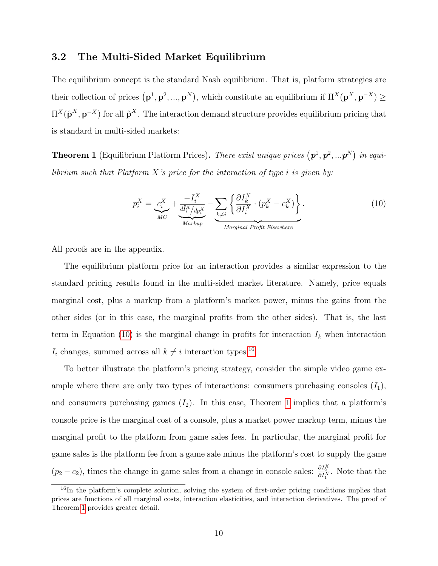#### 3.2 The Multi-Sided Market Equilibrium

The equilibrium concept is the standard Nash equilibrium. That is, platform strategies are their collection of prices  $(\mathbf{p}^1, \mathbf{p}^2, ..., \mathbf{p}^N)$ , which constitute an equilibrium if  $\Pi^X(\mathbf{p}^X, \mathbf{p}^{-X}) \geq$  $\Pi^{X}(\hat{\mathbf{p}}^{X}, \mathbf{p}^{-X})$  for all  $\hat{\mathbf{p}}^{X}$ . The interaction demand structure provides equilibrium pricing that is standard in multi-sided markets:

<span id="page-10-1"></span>**Theorem 1** (Equilibrium Platform Prices). There exist unique prices  $(\mathbf{p}^1, \mathbf{p}^2, ... \mathbf{p}^N)$  in equilibrium such that Platform  $X$ 's price for the interaction of type i is given by:

<span id="page-10-0"></span>
$$
p_i^X = \underbrace{c_i^X}_{MC} + \underbrace{\frac{-I_i^X}{d\tilde{l}_i^X/dp_i^X}}_{\text{Markup}} - \underbrace{\sum_{k \neq i} \left\{ \frac{\partial I_k^X}{\partial I_i^X} \cdot (p_k^X - c_k^X) \right\}}_{\text{Marginal Profit Elsewhere}}.
$$
 (10)

All proofs are in the appendix.

The equilibrium platform price for an interaction provides a similar expression to the standard pricing results found in the multi-sided market literature. Namely, price equals marginal cost, plus a markup from a platform's market power, minus the gains from the other sides (or in this case, the marginal profits from the other sides). That is, the last term in Equation [\(10\)](#page-10-0) is the marginal change in profits for interaction  $I_k$  when interaction  $I_i$  changes, summed across all  $k \neq i$  interaction types.<sup>[16](#page-0-0)</sup>

To better illustrate the platform's pricing strategy, consider the simple video game example where there are only two types of interactions: consumers purchasing consoles  $(I_1)$ , and consumers purchasing games  $(I_2)$ . In this case, Theorem [1](#page-10-1) implies that a platform's console price is the marginal cost of a console, plus a market power markup term, minus the marginal profit to the platform from game sales fees. In particular, the marginal profit for game sales is the platform fee from a game sale minus the platform's cost to supply the game  $(p_2 - c_2)$ , times the change in game sales from a change in console sales:  $\frac{\partial I_2^X}{\partial I_1^X}$ . Note that the

<sup>&</sup>lt;sup>16</sup>In the platform's complete solution, solving the system of first-order pricing conditions implies that prices are functions of all marginal costs, interaction elasticities, and interaction derivatives. The proof of Theorem [1](#page-10-1) provides greater detail.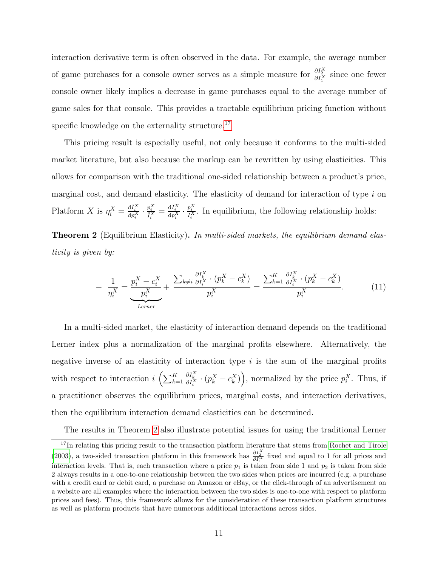interaction derivative term is often observed in the data. For example, the average number of game purchases for a console owner serves as a simple measure for  $\frac{\partial I_2^X}{\partial I_1^X}$  since one fewer console owner likely implies a decrease in game purchases equal to the average number of game sales for that console. This provides a tractable equilibrium pricing function without specific knowledge on the externality structure.<sup>[17](#page-0-0)</sup>

This pricing result is especially useful, not only because it conforms to the multi-sided market literature, but also because the markup can be rewritten by using elasticities. This allows for comparison with the traditional one-sided relationship between a product's price, marginal cost, and demand elasticity. The elasticity of demand for interaction of type  $i$  on Platform X is  $\eta_i^X = \frac{dI_i^X}{dp_i^X} \cdot \frac{p_i^X}{\tilde{I}_i^X} = \frac{dI_i^X}{dp_i^X} \cdot \frac{p_i^X}{I_i^X}$ . In equilibrium, the following relationship holds:

<span id="page-11-0"></span>Theorem 2 (Equilibrium Elasticity). In multi-sided markets, the equilibrium demand elasticity is given by:

$$
- \frac{1}{\eta_i^X} = \underbrace{\frac{p_i^X - c_i^X}{p_i^X}}_{Lerner} + \frac{\sum_{k \neq i} \frac{\partial I_k^X}{\partial I_i^X} \cdot (p_k^X - c_k^X)}{p_i^X} = \frac{\sum_{k=1}^K \frac{\partial I_k^X}{\partial I_i^X} \cdot (p_k^X - c_k^X)}{p_i^X}.
$$
 (11)

In a multi-sided market, the elasticity of interaction demand depends on the traditional Lerner index plus a normalization of the marginal profits elsewhere. Alternatively, the negative inverse of an elasticity of interaction type  $i$  is the sum of the marginal profits with respect to interaction  $i\left(\sum_{k=1}^K\right)$  $\frac{\partial I_k^X}{\partial I_i^X} \cdot (p_k^X - c_k^X)$ , normalized by the price  $p_i^X$ . Thus, if a practitioner observes the equilibrium prices, marginal costs, and interaction derivatives, then the equilibrium interaction demand elasticities can be determined.

The results in Theorem [2](#page-11-0) also illustrate potential issues for using the traditional Lerner

<sup>&</sup>lt;sup>17</sup>In relating this pricing result to the transaction platform literature that stems from [Rochet and Tirole](#page-43-0) [\(2003\)](#page-43-0), a two-sided transaction platform in this framework has  $\frac{\partial I_2^X}{\partial I_1^X}$  fixed and equal to 1 for all prices and interaction levels. That is, each transaction where a price  $p_1$  is taken from side 1 and  $p_2$  is taken from side 2 always results in a one-to-one relationship between the two sides when prices are incurred (e.g. a purchase with a credit card or debit card, a purchase on Amazon or eBay, or the click-through of an advertisement on a website are all examples where the interaction between the two sides is one-to-one with respect to platform prices and fees). Thus, this framework allows for the consideration of these transaction platform structures as well as platform products that have numerous additional interactions across sides.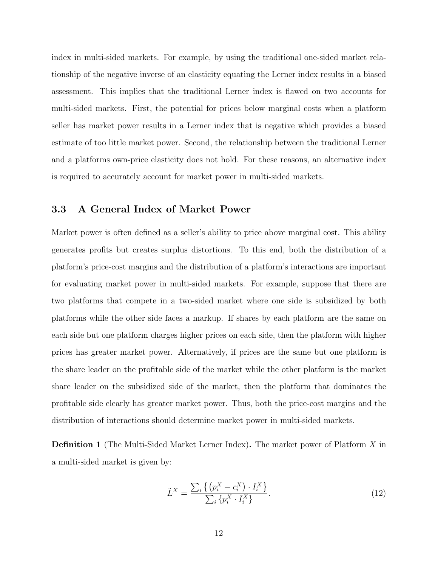index in multi-sided markets. For example, by using the traditional one-sided market relationship of the negative inverse of an elasticity equating the Lerner index results in a biased assessment. This implies that the traditional Lerner index is flawed on two accounts for multi-sided markets. First, the potential for prices below marginal costs when a platform seller has market power results in a Lerner index that is negative which provides a biased estimate of too little market power. Second, the relationship between the traditional Lerner and a platforms own-price elasticity does not hold. For these reasons, an alternative index is required to accurately account for market power in multi-sided markets.

#### 3.3 A General Index of Market Power

Market power is often defined as a seller's ability to price above marginal cost. This ability generates profits but creates surplus distortions. To this end, both the distribution of a platform's price-cost margins and the distribution of a platform's interactions are important for evaluating market power in multi-sided markets. For example, suppose that there are two platforms that compete in a two-sided market where one side is subsidized by both platforms while the other side faces a markup. If shares by each platform are the same on each side but one platform charges higher prices on each side, then the platform with higher prices has greater market power. Alternatively, if prices are the same but one platform is the share leader on the profitable side of the market while the other platform is the market share leader on the subsidized side of the market, then the platform that dominates the profitable side clearly has greater market power. Thus, both the price-cost margins and the distribution of interactions should determine market power in multi-sided markets.

**Definition 1** (The Multi-Sided Market Lerner Index). The market power of Platform X in a multi-sided market is given by:

<span id="page-12-0"></span>
$$
\tilde{L}^{X} = \frac{\sum_{i} \left\{ \left( p_{i}^{X} - c_{i}^{X} \right) \cdot I_{i}^{X} \right\}}{\sum_{i} \left\{ p_{i}^{X} \cdot I_{i}^{X} \right\}}.
$$
\n(12)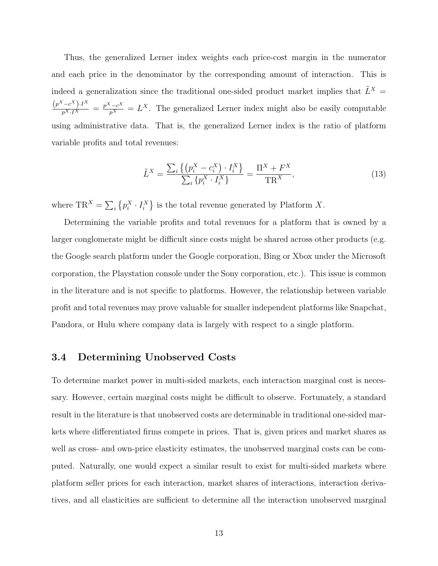Thus, the generalized Lerner index weights each price-cost margin in the numerator and each price in the denominator by the corresponding amount of interaction. This is indeed a generalization since the traditional one-sided product market implies that  $\tilde{L}^X$  =  $\frac{(p^X-c^X) \cdot I^X}{p^X \cdot I^X} = \frac{p^X-c^X}{p^X} = L^X$ . The generalized Lerner index might also be easily computable using administrative data. That is, the generalized Lerner index is the ratio of platform variable profits and total revenues:

$$
\tilde{L}^{X} = \frac{\sum_{i} \left\{ \left( p_{i}^{X} - c_{i}^{X} \right) \cdot I_{i}^{X} \right\}}{\sum_{i} \left\{ p_{i}^{X} \cdot I_{i}^{X} \right\}} = \frac{\Pi^{X} + F^{X}}{\text{TR}^{X}},\tag{13}
$$

where  $TR^X = \sum_i \{p_i^X \cdot I_i^X\}$  is the total revenue generated by Platform X.

Determining the variable profits and total revenues for a platform that is owned by a larger conglomerate might be difficult since costs might be shared across other products (e.g. the Google search platform under the Google corporation, Bing or Xbox under the Microsoft corporation, the Playstation console under the Sony corporation, etc.). This issue is common in the literature and is not specific to platforms. However, the relationship between variable profit and total revenues may prove valuable for smaller independent platforms like Snapchat, Pandora, or Hulu where company data is largely with respect to a single platform.

#### 3.4 Determining Unobserved Costs

To determine market power in multi-sided markets, each interaction marginal cost is necessary. However, certain marginal costs might be difficult to observe. Fortunately, a standard result in the literature is that unobserved costs are determinable in traditional one-sided markets where differentiated firms compete in prices. That is, given prices and market shares as well as cross- and own-price elasticity estimates, the unobserved marginal costs can be computed. Naturally, one would expect a similar result to exist for multi-sided markets where platform seller prices for each interaction, market shares of interactions, interaction derivatives, and all elasticities are sufficient to determine all the interaction unobserved marginal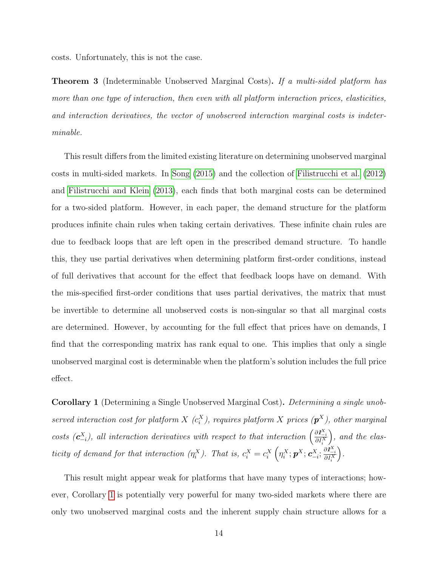costs. Unfortunately, this is not the case.

<span id="page-14-1"></span>**Theorem 3** (Indeterminable Unobserved Marginal Costs). If a multi-sided platform has more than one type of interaction, then even with all platform interaction prices, elasticities, and interaction derivatives, the vector of unobserved interaction marginal costs is indeterminable.

This result differs from the limited existing literature on determining unobserved marginal costs in multi-sided markets. In [Song](#page-43-2) [\(2015\)](#page-43-2) and the collection of [Filistrucchi et al.](#page-41-1) [\(2012\)](#page-41-1) and [Filistrucchi and Klein](#page-41-2) [\(2013\)](#page-41-2), each finds that both marginal costs can be determined for a two-sided platform. However, in each paper, the demand structure for the platform produces infinite chain rules when taking certain derivatives. These infinite chain rules are due to feedback loops that are left open in the prescribed demand structure. To handle this, they use partial derivatives when determining platform first-order conditions, instead of full derivatives that account for the effect that feedback loops have on demand. With the mis-specified first-order conditions that uses partial derivatives, the matrix that must be invertible to determine all unobserved costs is non-singular so that all marginal costs are determined. However, by accounting for the full effect that prices have on demands, I find that the corresponding matrix has rank equal to one. This implies that only a single unobserved marginal cost is determinable when the platform's solution includes the full price effect.

<span id="page-14-0"></span>Corollary 1 (Determining a Single Unobserved Marginal Cost). Determining a single unobserved interaction cost for platform  $X$  ( $c_i^X$ ), requires platform  $X$  prices ( $\boldsymbol{p}^X$ ), other marginal costs  $(c_{-i}^X)$ , all interaction derivatives with respect to that interaction  $\left(\frac{\partial I_{-i}^X}{\partial I_i^X}\right)$  , and the elasticity of demand for that interaction  $(\eta_i^X)$ . That is,  $c_i^X = c_i^X\left(\eta_i^X; \boldsymbol{p}^X; \boldsymbol{c}_{-i}^X; \frac{\partial I_{-i}^X}{\partial I_i^X}\right)$ .

This result might appear weak for platforms that have many types of interactions; however, Corollary [1](#page-14-0) is potentially very powerful for many two-sided markets where there are only two unobserved marginal costs and the inherent supply chain structure allows for a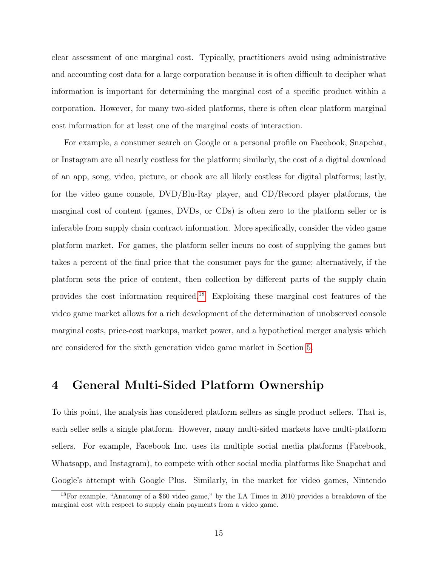clear assessment of one marginal cost. Typically, practitioners avoid using administrative and accounting cost data for a large corporation because it is often difficult to decipher what information is important for determining the marginal cost of a specific product within a corporation. However, for many two-sided platforms, there is often clear platform marginal cost information for at least one of the marginal costs of interaction.

For example, a consumer search on Google or a personal profile on Facebook, Snapchat, or Instagram are all nearly costless for the platform; similarly, the cost of a digital download of an app, song, video, picture, or ebook are all likely costless for digital platforms; lastly, for the video game console, DVD/Blu-Ray player, and CD/Record player platforms, the marginal cost of content (games, DVDs, or CDs) is often zero to the platform seller or is inferable from supply chain contract information. More specifically, consider the video game platform market. For games, the platform seller incurs no cost of supplying the games but takes a percent of the final price that the consumer pays for the game; alternatively, if the platform sets the price of content, then collection by different parts of the supply chain provides the cost information required.[18](#page-0-0) Exploiting these marginal cost features of the video game market allows for a rich development of the determination of unobserved console marginal costs, price-cost markups, market power, and a hypothetical merger analysis which are considered for the sixth generation video game market in Section [5.](#page-19-0)

### <span id="page-15-0"></span>4 General Multi-Sided Platform Ownership

To this point, the analysis has considered platform sellers as single product sellers. That is, each seller sells a single platform. However, many multi-sided markets have multi-platform sellers. For example, Facebook Inc. uses its multiple social media platforms (Facebook, Whatsapp, and Instagram), to compete with other social media platforms like Snapchat and Google's attempt with Google Plus. Similarly, in the market for video games, Nintendo

<sup>18</sup>For example, "Anatomy of a \$60 video game," by the LA Times in 2010 provides a breakdown of the marginal cost with respect to supply chain payments from a video game.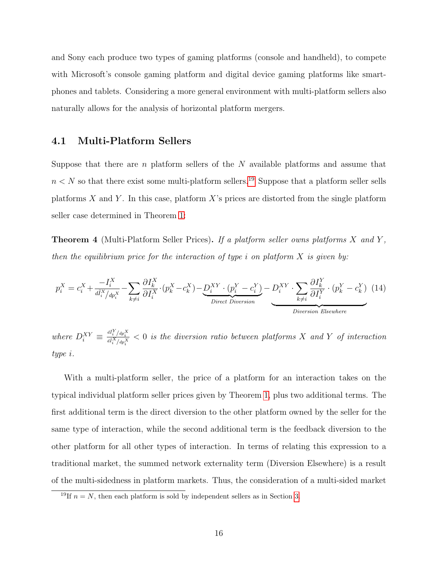and Sony each produce two types of gaming platforms (console and handheld), to compete with Microsoft's console gaming platform and digital device gaming platforms like smartphones and tablets. Considering a more general environment with multi-platform sellers also naturally allows for the analysis of horizontal platform mergers.

#### 4.1 Multi-Platform Sellers

Suppose that there are  $n$  platform sellers of the  $N$  available platforms and assume that  $n < N$  so that there exist some multi-platform sellers.<sup>[19](#page-0-0)</sup> Suppose that a platform seller sells platforms X and Y. In this case, platform  $X$ 's prices are distorted from the single platform seller case determined in Theorem [1:](#page-10-1)

<span id="page-16-0"></span>**Theorem 4** (Multi-Platform Seller Prices). If a platform seller owns platforms  $X$  and  $Y$ , then the equilibrium price for the interaction of type i on platform  $X$  is given by:

$$
p_i^X = c_i^X + \frac{-I_i^X}{d_i^X / dp_i^X} - \sum_{k \neq i} \frac{\partial I_k^X}{\partial I_i^X} \cdot (p_k^X - c_k^X) - \underbrace{D_i^{XY} \cdot (p_i^Y - c_i^Y)}_{Direct \; Diversion} - \underbrace{D_i^{XY} \cdot \sum_{k \neq i} \frac{\partial I_k^Y}{\partial I_i^Y} \cdot (p_k^Y - c_k^Y)}_{Diversion \; Elsewhere}
$$
 (14)

where  $D_i^{XY} \equiv \frac{d_i^Y/a_i^X}{d_i^X/a_i^X} < 0$  is the diversion ratio between platforms X and Y of interaction type i.

With a multi-platform seller, the price of a platform for an interaction takes on the typical individual platform seller prices given by Theorem [1,](#page-10-1) plus two additional terms. The first additional term is the direct diversion to the other platform owned by the seller for the same type of interaction, while the second additional term is the feedback diversion to the other platform for all other types of interaction. In terms of relating this expression to a traditional market, the summed network externality term (Diversion Elsewhere) is a result of the multi-sidedness in platform markets. Thus, the consideration of a multi-sided market

<sup>&</sup>lt;sup>19</sup>If  $n = N$ , then each platform is sold by independent sellers as in Section [3.](#page-6-0)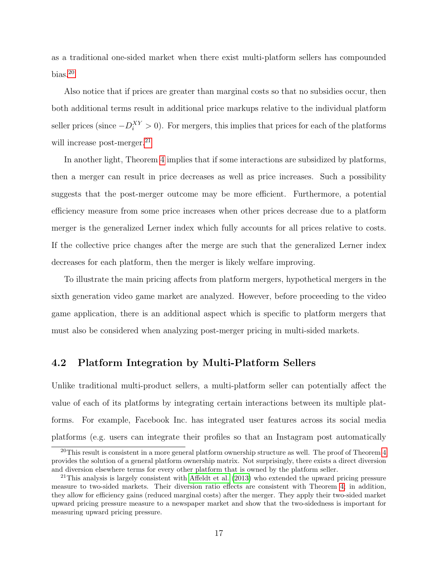as a traditional one-sided market when there exist multi-platform sellers has compounded bias. $20$ 

Also notice that if prices are greater than marginal costs so that no subsidies occur, then both additional terms result in additional price markups relative to the individual platform seller prices (since  $-D_i^{XY} > 0$ ). For mergers, this implies that prices for each of the platforms will increase post-merger.<sup>[21](#page-0-0)</sup>

In another light, Theorem [4](#page-16-0) implies that if some interactions are subsidized by platforms, then a merger can result in price decreases as well as price increases. Such a possibility suggests that the post-merger outcome may be more efficient. Furthermore, a potential efficiency measure from some price increases when other prices decrease due to a platform merger is the generalized Lerner index which fully accounts for all prices relative to costs. If the collective price changes after the merge are such that the generalized Lerner index decreases for each platform, then the merger is likely welfare improving.

To illustrate the main pricing affects from platform mergers, hypothetical mergers in the sixth generation video game market are analyzed. However, before proceeding to the video game application, there is an additional aspect which is specific to platform mergers that must also be considered when analyzing post-merger pricing in multi-sided markets.

#### 4.2 Platform Integration by Multi-Platform Sellers

Unlike traditional multi-product sellers, a multi-platform seller can potentially affect the value of each of its platforms by integrating certain interactions between its multiple platforms. For example, Facebook Inc. has integrated user features across its social media platforms (e.g. users can integrate their profiles so that an Instagram post automatically

<sup>&</sup>lt;sup>20</sup>This result is consistent in a more general platform ownership structure as well. The proof of Theorem  $4$ provides the solution of a general platform ownership matrix. Not surprisingly, there exists a direct diversion and diversion elsewhere terms for every other platform that is owned by the platform seller.

<sup>&</sup>lt;sup>21</sup>This analysis is largely consistent with [Affeldt et al.](#page-39-1) [\(2013\)](#page-39-1) who extended the upward pricing pressure measure to two-sided markets. Their diversion ratio effects are consistent with Theorem [4;](#page-16-0) in addition, they allow for efficiency gains (reduced marginal costs) after the merger. They apply their two-sided market upward pricing pressure measure to a newspaper market and show that the two-sidedness is important for measuring upward pricing pressure.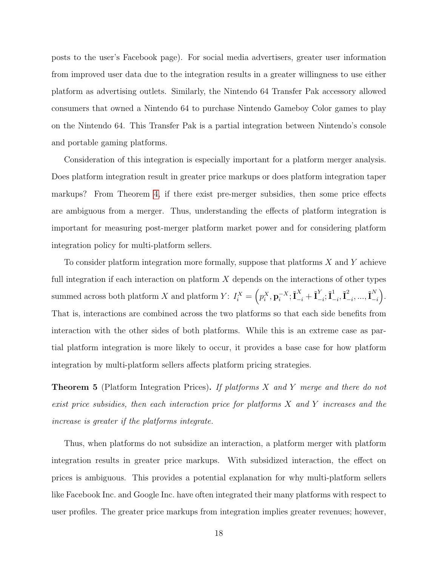posts to the user's Facebook page). For social media advertisers, greater user information from improved user data due to the integration results in a greater willingness to use either platform as advertising outlets. Similarly, the Nintendo 64 Transfer Pak accessory allowed consumers that owned a Nintendo 64 to purchase Nintendo Gameboy Color games to play on the Nintendo 64. This Transfer Pak is a partial integration between Nintendo's console and portable gaming platforms.

Consideration of this integration is especially important for a platform merger analysis. Does platform integration result in greater price markups or does platform integration taper markups? From Theorem [4,](#page-16-0) if there exist pre-merger subsidies, then some price effects are ambiguous from a merger. Thus, understanding the effects of platform integration is important for measuring post-merger platform market power and for considering platform integration policy for multi-platform sellers.

To consider platform integration more formally, suppose that platforms  $X$  and  $Y$  achieve full integration if each interaction on platform  $X$  depends on the interactions of other types summed across both platform X and platform  $Y: I_i^X = (p_i^X, \mathbf{p}_i^{-X})$  $_{i}^{-X};\tilde{\mathbf{I}}_{-i}^{X}+\tilde{\mathbf{I}}_{-}^{Y}$  $_{-i}^{Y};\tilde{\mathbf{I}}_{-}^{1}$  $\prod_{-i}^1, \tilde{\mathbf{I}}_{-}^2$  $\tilde{\mathbf{I}}_{-i}^{2},...,\tilde{\mathbf{I}}_{-i}^{N}$  $\begin{pmatrix} N \\ -i \end{pmatrix}$ . That is, interactions are combined across the two platforms so that each side benefits from interaction with the other sides of both platforms. While this is an extreme case as partial platform integration is more likely to occur, it provides a base case for how platform integration by multi-platform sellers affects platform pricing strategies.

<span id="page-18-0"></span>**Theorem 5** (Platform Integration Prices). If platforms X and Y merge and there do not exist price subsidies, then each interaction price for platforms X and Y increases and the increase is greater if the platforms integrate.

Thus, when platforms do not subsidize an interaction, a platform merger with platform integration results in greater price markups. With subsidized interaction, the effect on prices is ambiguous. This provides a potential explanation for why multi-platform sellers like Facebook Inc. and Google Inc. have often integrated their many platforms with respect to user profiles. The greater price markups from integration implies greater revenues; however,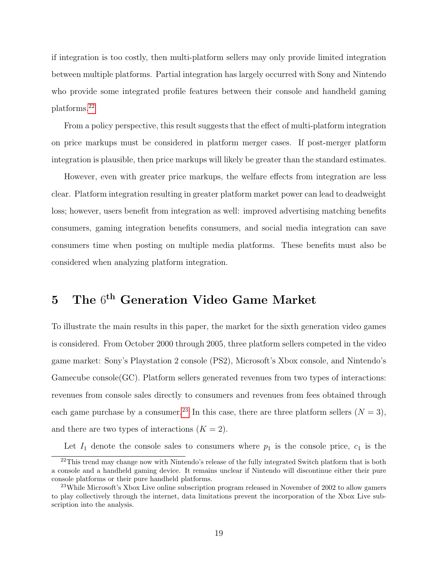if integration is too costly, then multi-platform sellers may only provide limited integration between multiple platforms. Partial integration has largely occurred with Sony and Nintendo who provide some integrated profile features between their console and handheld gaming platforms.[22](#page-0-0)

From a policy perspective, this result suggests that the effect of multi-platform integration on price markups must be considered in platform merger cases. If post-merger platform integration is plausible, then price markups will likely be greater than the standard estimates.

However, even with greater price markups, the welfare effects from integration are less clear. Platform integration resulting in greater platform market power can lead to deadweight loss; however, users benefit from integration as well: improved advertising matching benefits consumers, gaming integration benefits consumers, and social media integration can save consumers time when posting on multiple media platforms. These benefits must also be considered when analyzing platform integration.

## <span id="page-19-0"></span>5 The  $6^{\text{th}}$  Generation Video Game Market

To illustrate the main results in this paper, the market for the sixth generation video games is considered. From October 2000 through 2005, three platform sellers competed in the video game market: Sony's Playstation 2 console (PS2), Microsoft's Xbox console, and Nintendo's Gamecube console(GC). Platform sellers generated revenues from two types of interactions: revenues from console sales directly to consumers and revenues from fees obtained through each game purchase by a consumer.<sup>[23](#page-0-0)</sup> In this case, there are three platform sellers  $(N = 3)$ , and there are two types of interactions  $(K = 2)$ .

Let  $I_1$  denote the console sales to consumers where  $p_1$  is the console price,  $c_1$  is the

 $^{22}$ This trend may change now with Nintendo's release of the fully integrated Switch platform that is both a console and a handheld gaming device. It remains unclear if Nintendo will discontinue either their pure console platforms or their pure handheld platforms.

<sup>23</sup>While Microsoft's Xbox Live online subscription program released in November of 2002 to allow gamers to play collectively through the internet, data limitations prevent the incorporation of the Xbox Live subscription into the analysis.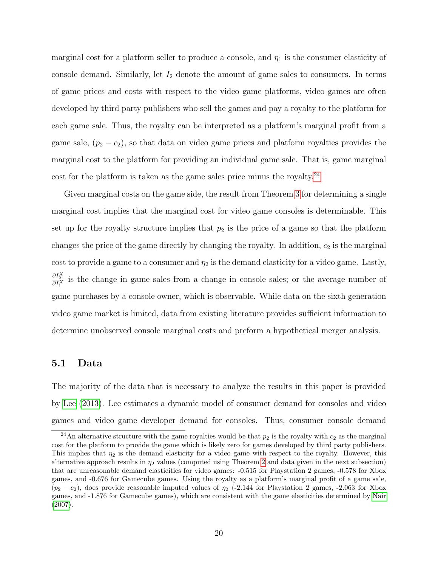marginal cost for a platform seller to produce a console, and  $\eta_1$  is the consumer elasticity of console demand. Similarly, let  $I_2$  denote the amount of game sales to consumers. In terms of game prices and costs with respect to the video game platforms, video games are often developed by third party publishers who sell the games and pay a royalty to the platform for each game sale. Thus, the royalty can be interpreted as a platform's marginal profit from a game sale,  $(p_2 - c_2)$ , so that data on video game prices and platform royalties provides the marginal cost to the platform for providing an individual game sale. That is, game marginal cost for the platform is taken as the game sales price minus the royalty.<sup>[24](#page-0-0)</sup>

Given marginal costs on the game side, the result from Theorem [3](#page-14-1) for determining a single marginal cost implies that the marginal cost for video game consoles is determinable. This set up for the royalty structure implies that  $p_2$  is the price of a game so that the platform changes the price of the game directly by changing the royalty. In addition,  $c_2$  is the marginal cost to provide a game to a consumer and  $\eta_2$  is the demand elasticity for a video game. Lastly,  $\frac{\partial I_2^X}{\partial I_1^X}$  is the change in game sales from a change in console sales; or the average number of game purchases by a console owner, which is observable. While data on the sixth generation video game market is limited, data from existing literature provides sufficient information to determine unobserved console marginal costs and preform a hypothetical merger analysis.

#### 5.1 Data

The majority of the data that is necessary to analyze the results in this paper is provided by [Lee](#page-42-3) [\(2013\)](#page-42-3). Lee estimates a dynamic model of consumer demand for consoles and video games and video game developer demand for consoles. Thus, consumer console demand

<sup>&</sup>lt;sup>24</sup>An alternative structure with the game royalties would be that  $p_2$  is the royalty with  $c_2$  as the marginal cost for the platform to provide the game which is likely zero for games developed by third party publishers. This implies that  $\eta_2$  is the demand elasticity for a video game with respect to the royalty. However, this alternative approach results in  $\eta_2$  values (computed using Theorem [2](#page-11-0) and data given in the next subsection) that are unreasonable demand elasticities for video games: -0.515 for Playstation 2 games, -0.578 for Xbox games, and -0.676 for Gamecube games. Using the royalty as a platform's marginal profit of a game sale,  $(p_2 - c_2)$ , does provide reasonable imputed values of  $\eta_2$  (-2.144 for Playstation 2 games, -2.063 for Xbox games, and -1.876 for Gamecube games), which are consistent with the game elasticities determined by [Nair](#page-42-6) [\(2007\)](#page-42-6).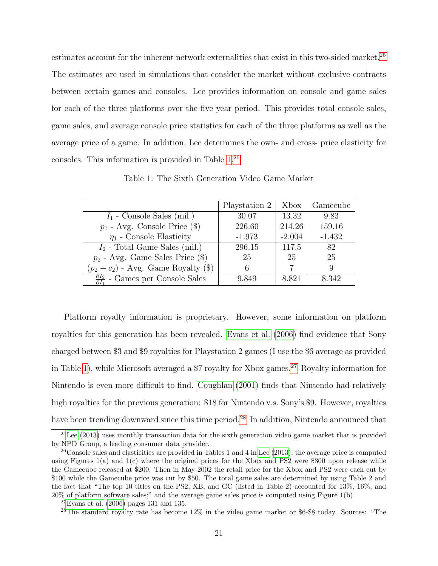estimates account for the inherent network externalities that exist in this two-sided market.[25](#page-0-0) The estimates are used in simulations that consider the market without exclusive contracts between certain games and consoles. Lee provides information on console and game sales for each of the three platforms over the five year period. This provides total console sales, game sales, and average console price statistics for each of the three platforms as well as the average price of a game. In addition, Lee determines the own- and cross- price elasticity for consoles. This information is provided in Table [1.](#page-21-0)[26](#page-0-0)

<span id="page-21-0"></span>

|                                                               | Playstation 2 | Xbox     | Gamecube |
|---------------------------------------------------------------|---------------|----------|----------|
| $I_1$ - Console Sales (mil.)                                  | 30.07         | 13.32    | 9.83     |
| $p_1$ - Avg. Console Price (\$)                               | 226.60        | 214.26   | 159.16   |
| $\eta_1$ - Console Elasticity                                 | $-1.973$      | $-2.004$ | $-1.432$ |
| $I_2$ - Total Game Sales (mil.)                               | 296.15        | 117.5    | 82       |
| $p_2$ - Avg. Game Sales Price (\$)                            | 25            | 25       | 25       |
| $(p_2 - c_2)$ - Avg. Game Royalty (\$)                        |               |          | 9        |
| $\frac{\partial I_2}{\partial I_1}$ - Games per Console Sales | 9.849         | 8.821    | 8.342    |

Table 1: The Sixth Generation Video Game Market

Platform royalty information is proprietary. However, some information on platform royalties for this generation has been revealed. [Evans et al.](#page-40-8) [\(2006\)](#page-40-8) find evidence that Sony charged between \$3 and \$9 royalties for Playstation 2 games (I use the \$6 average as provided in Table [1\)](#page-21-0), while Microsoft averaged a \$7 royalty for Xbox games.<sup>[27](#page-0-0)</sup> Royalty information for Nintendo is even more difficult to find. [Coughlan](#page-40-9) [\(2001\)](#page-40-9) finds that Nintendo had relatively high royalties for the previous generation: \$18 for Nintendo v.s. Sony's \$9. However, royalties have been trending downward since this time period.<sup>[28](#page-0-0)</sup> In addition, Nintendo announced that

 $^{25}$ [Lee](#page-42-3) [\(2013\)](#page-42-3) uses monthly transaction data for the sixth generation video game market that is provided by NPD Group, a leading consumer data provider.

 $26$ Console sales and elasticities are provided in Tables 1 and 4 in [Lee](#page-42-3) [\(2013\)](#page-42-3); the average price is computed using Figures 1(a) and 1(c) where the original prices for the Xbox and PS2 were \$300 upon release while the Gamecube released at \$200. Then in May 2002 the retail price for the Xbox and PS2 were each cut by \$100 while the Gamecube price was cut by \$50. The total game sales are determined by using Table 2 and the fact that "The top 10 titles on the PS2, XB, and GC (listed in Table 2) accounted for 13%, 16%, and 20% of platform software sales;" and the average game sales price is computed using Figure 1(b).

 $27$ [Evans et al.](#page-40-8) [\(2006\)](#page-40-8) pages 131 and 135.

<sup>28</sup>The standard royalty rate has become 12% in the video game market or \$6-\$8 today. Sources: "The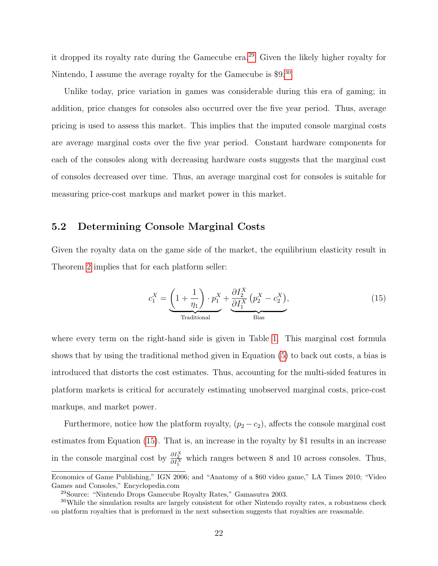it dropped its royalty rate during the Gamecube era.[29](#page-0-0) Given the likely higher royalty for Nintendo, I assume the average royalty for the Gamecube is \$9.[30](#page-0-0)

Unlike today, price variation in games was considerable during this era of gaming; in addition, price changes for consoles also occurred over the five year period. Thus, average pricing is used to assess this market. This implies that the imputed console marginal costs are average marginal costs over the five year period. Constant hardware components for each of the consoles along with decreasing hardware costs suggests that the marginal cost of consoles decreased over time. Thus, an average marginal cost for consoles is suitable for measuring price-cost markups and market power in this market.

#### 5.2 Determining Console Marginal Costs

Given the royalty data on the game side of the market, the equilibrium elasticity result in Theorem [2](#page-11-0) implies that for each platform seller:

<span id="page-22-0"></span>
$$
c_1^X = \underbrace{\left(1 + \frac{1}{\eta_1}\right) \cdot p_1^X}_{\text{Traditional}} + \underbrace{\frac{\partial I_2^X}{\partial I_1^X} \left(p_2^X - c_2^X\right)}_{\text{Bias}},\tag{15}
$$

where every term on the right-hand side is given in Table [1.](#page-21-0) This marginal cost formula shows that by using the traditional method given in Equation [\(5\)](#page-6-1) to back out costs, a bias is introduced that distorts the cost estimates. Thus, accounting for the multi-sided features in platform markets is critical for accurately estimating unobserved marginal costs, price-cost markups, and market power.

Furthermore, notice how the platform royalty,  $(p_2 - c_2)$ , affects the console marginal cost estimates from Equation [\(15\)](#page-22-0). That is, an increase in the royalty by \$1 results in an increase in the console marginal cost by  $\frac{\partial I_2^X}{\partial I_1^X}$  which ranges between 8 and 10 across consoles. Thus,

Economics of Game Publishing," IGN 2006; and "Anatomy of a \$60 video game," LA Times 2010; "Video Games and Consoles," Encyclopedia.com

<sup>29</sup>Source: "Nintendo Drops Gamecube Royalty Rates," Gamasutra 2003.

<sup>&</sup>lt;sup>30</sup>While the simulation results are largely consistent for other Nintendo royalty rates, a robustness check on platform royalties that is preformed in the next subsection suggests that royalties are reasonable.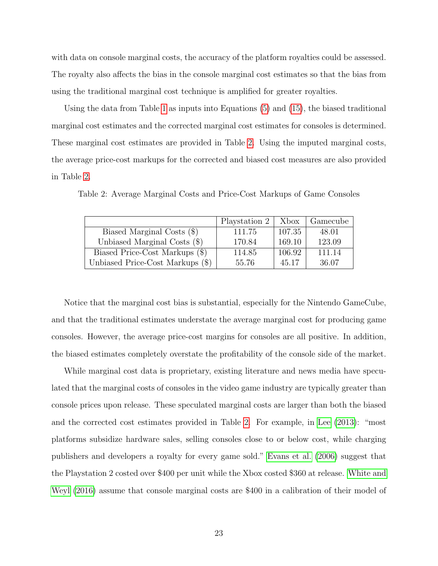with data on console marginal costs, the accuracy of the platform royalties could be assessed. The royalty also affects the bias in the console marginal cost estimates so that the bias from using the traditional marginal cost technique is amplified for greater royalties.

Using the data from Table [1](#page-21-0) as inputs into Equations [\(5\)](#page-6-1) and [\(15\)](#page-22-0), the biased traditional marginal cost estimates and the corrected marginal cost estimates for consoles is determined. These marginal cost estimates are provided in Table [2.](#page-23-0) Using the imputed marginal costs, the average price-cost markups for the corrected and biased cost measures are also provided in Table [2.](#page-23-0)

|                                  | Playstation 2 | Xbox   | Gamecube |
|----------------------------------|---------------|--------|----------|
| Biased Marginal Costs (\$)       | 111.75        | 107.35 | 48.01    |
| Unbiased Marginal Costs $(\$)$   | 170.84        | 169.10 | 123.09   |
| Biased Price-Cost Markups (\$)   | 114.85        | 106.92 | 111.14   |
| Unbiased Price-Cost Markups (\$) | 55.76         | 45.17  | 36.07    |

<span id="page-23-0"></span>Table 2: Average Marginal Costs and Price-Cost Markups of Game Consoles

Notice that the marginal cost bias is substantial, especially for the Nintendo GameCube, and that the traditional estimates understate the average marginal cost for producing game consoles. However, the average price-cost margins for consoles are all positive. In addition, the biased estimates completely overstate the profitability of the console side of the market.

While marginal cost data is proprietary, existing literature and news media have speculated that the marginal costs of consoles in the video game industry are typically greater than console prices upon release. These speculated marginal costs are larger than both the biased and the corrected cost estimates provided in Table [2.](#page-23-0) For example, in [Lee](#page-42-3) [\(2013\)](#page-42-3): "most platforms subsidize hardware sales, selling consoles close to or below cost, while charging publishers and developers a royalty for every game sold." [Evans et al.](#page-40-8) [\(2006\)](#page-40-8) suggest that the Playstation 2 costed over \$400 per unit while the Xbox costed \$360 at release. [White and](#page-43-7) [Weyl](#page-43-7) [\(2016\)](#page-43-7) assume that console marginal costs are \$400 in a calibration of their model of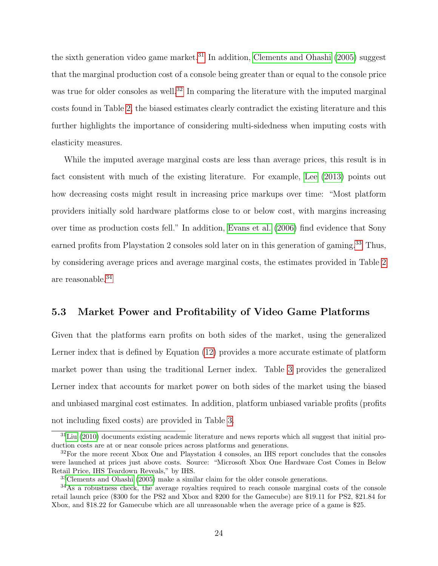the sixth generation video game market.<sup>[31](#page-0-0)</sup> In addition, [Clements and Ohashi](#page-40-10) [\(2005\)](#page-40-10) suggest that the marginal production cost of a console being greater than or equal to the console price was true for older consoles as well.<sup>[32](#page-0-0)</sup> In comparing the literature with the imputed marginal costs found in Table [2,](#page-23-0) the biased estimates clearly contradict the existing literature and this further highlights the importance of considering multi-sidedness when imputing costs with elasticity measures.

While the imputed average marginal costs are less than average prices, this result is in fact consistent with much of the existing literature. For example, [Lee](#page-42-3) [\(2013\)](#page-42-3) points out how decreasing costs might result in increasing price markups over time: "Most platform providers initially sold hardware platforms close to or below cost, with margins increasing over time as production costs fell." In addition, [Evans et al.](#page-40-8) [\(2006\)](#page-40-8) find evidence that Sony earned profits from Playstation 2 consoles sold later on in this generation of gaming.<sup>[33](#page-0-0)</sup> Thus, by considering average prices and average marginal costs, the estimates provided in Table [2](#page-23-0) are reasonable.[34](#page-0-0)

#### 5.3 Market Power and Profitability of Video Game Platforms

Given that the platforms earn profits on both sides of the market, using the generalized Lerner index that is defined by Equation [\(12\)](#page-12-0) provides a more accurate estimate of platform market power than using the traditional Lerner index. Table [3](#page-25-0) provides the generalized Lerner index that accounts for market power on both sides of the market using the biased and unbiased marginal cost estimates. In addition, platform unbiased variable profits (profits not including fixed costs) are provided in Table [3.](#page-25-0)

 $31$ [Liu](#page-42-7) [\(2010\)](#page-42-7) documents existing academic literature and news reports which all suggest that initial production costs are at or near console prices across platforms and generations.

<sup>&</sup>lt;sup>32</sup>For the more recent Xbox One and Playstation 4 consoles, an IHS report concludes that the consoles were launched at prices just above costs. Source: "Microsoft Xbox One Hardware Cost Comes in Below Retail Price, IHS Teardown Reveals," by IHS.

<sup>33</sup>[Clements and Ohashi](#page-40-10) [\(2005\)](#page-40-10) make a similar claim for the older console generations.

<sup>34</sup>As a robustness check, the average royalties required to reach console marginal costs of the console retail launch price (\$300 for the PS2 and Xbox and \$200 for the Gamecube) are \$19.11 for PS2, \$21.84 for Xbox, and \$18.22 for Gamecube which are all unreasonable when the average price of a game is \$25.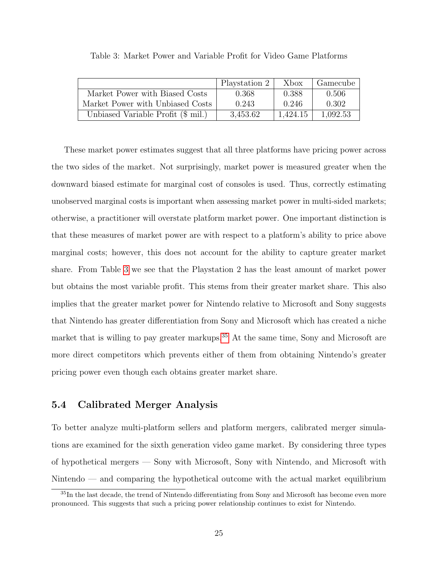|                                    | Playstation 2 | Xbox     | Gamecube |
|------------------------------------|---------------|----------|----------|
| Market Power with Biased Costs     | 0.368         | 0.388    | 0.506    |
| Market Power with Unbiased Costs   | 0.243         | 0.246    | 0.302    |
| Unbiased Variable Profit (\$ mil.) | 3.453.62      | 1.424.15 | 1,092.53 |

<span id="page-25-0"></span>Table 3: Market Power and Variable Profit for Video Game Platforms

These market power estimates suggest that all three platforms have pricing power across the two sides of the market. Not surprisingly, market power is measured greater when the downward biased estimate for marginal cost of consoles is used. Thus, correctly estimating unobserved marginal costs is important when assessing market power in multi-sided markets; otherwise, a practitioner will overstate platform market power. One important distinction is that these measures of market power are with respect to a platform's ability to price above marginal costs; however, this does not account for the ability to capture greater market share. From Table [3](#page-25-0) we see that the Playstation 2 has the least amount of market power but obtains the most variable profit. This stems from their greater market share. This also implies that the greater market power for Nintendo relative to Microsoft and Sony suggests that Nintendo has greater differentiation from Sony and Microsoft which has created a niche market that is willing to pay greater markups. $35$  At the same time, Sony and Microsoft are more direct competitors which prevents either of them from obtaining Nintendo's greater pricing power even though each obtains greater market share.

#### 5.4 Calibrated Merger Analysis

To better analyze multi-platform sellers and platform mergers, calibrated merger simulations are examined for the sixth generation video game market. By considering three types of hypothetical mergers — Sony with Microsoft, Sony with Nintendo, and Microsoft with Nintendo — and comparing the hypothetical outcome with the actual market equilibrium

<sup>&</sup>lt;sup>35</sup>In the last decade, the trend of Nintendo differentiating from Sony and Microsoft has become even more pronounced. This suggests that such a pricing power relationship continues to exist for Nintendo.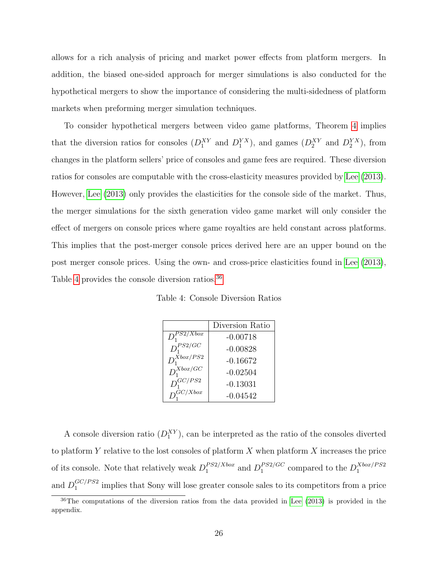allows for a rich analysis of pricing and market power effects from platform mergers. In addition, the biased one-sided approach for merger simulations is also conducted for the hypothetical mergers to show the importance of considering the multi-sidedness of platform markets when preforming merger simulation techniques.

To consider hypothetical mergers between video game platforms, Theorem [4](#page-16-0) implies that the diversion ratios for consoles  $(D_1^{XY}$  and  $D_1^{YX}$ ), and games  $(D_2^{XY}$  and  $D_2^{YX}$ ), from changes in the platform sellers' price of consoles and game fees are required. These diversion ratios for consoles are computable with the cross-elasticity measures provided by [Lee](#page-42-3) [\(2013\)](#page-42-3). However, [Lee](#page-42-3) [\(2013\)](#page-42-3) only provides the elasticities for the console side of the market. Thus, the merger simulations for the sixth generation video game market will only consider the effect of mergers on console prices where game royalties are held constant across platforms. This implies that the post-merger console prices derived here are an upper bound on the post merger console prices. Using the own- and cross-price elasticities found in [Lee](#page-42-3) [\(2013\)](#page-42-3), Table [4](#page-26-0) provides the console diversion ratios.<sup>[36](#page-0-0)</sup>

<span id="page-26-0"></span>Table 4: Console Diversion Ratios

|                  | Diversion Ratio |
|------------------|-----------------|
| S2/Xbox          | $-0.00718$      |
| $D_1^{PS2/GC}$   | $-0.00828$      |
| $D_1^{Xbox/PS2}$ | $-0.16672$      |
| $D_1^{Xbox/GC}$  | $-0.02504$      |
| $D^{GC/PS2}_1$   | $-0.13031$      |
| $D^{GC/Xbox}_*$  | $-0.04542$      |

A console diversion ratio  $(D_1^{XY})$ , can be interpreted as the ratio of the consoles diverted to platform  $Y$  relative to the lost consoles of platform  $X$  when platform  $X$  increases the price of its console. Note that relatively weak  $D_1^{PS2/Xbox}$  $_{1}^{PS2/Xbox}$  and  $D_{1}^{PS2/GC}$  $l_1^{PS2/GC}$  compared to the  $D_1^{Xbox/PS2}$ 1 and  $D_1^{GC/PS2}$  $\frac{1}{1}$  implies that Sony will lose greater console sales to its competitors from a price

 $36$ The computations of the diversion ratios from the data provided in [Lee](#page-42-3) [\(2013\)](#page-42-3) is provided in the appendix.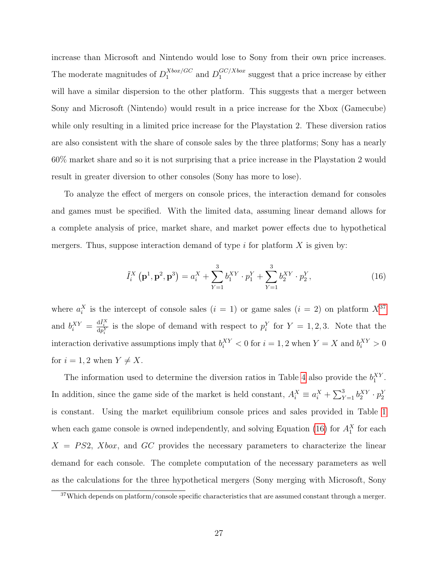increase than Microsoft and Nintendo would lose to Sony from their own price increases. The moderate magnitudes of  $D_1^{Xbox/GC}$  $I_1^{Xbox/GC}$  and  $D_1^{GC/Xbox}$  $_{1}^{GC/Aoox}$  suggest that a price increase by either will have a similar dispersion to the other platform. This suggests that a merger between Sony and Microsoft (Nintendo) would result in a price increase for the Xbox (Gamecube) while only resulting in a limited price increase for the Playstation 2. These diversion ratios are also consistent with the share of console sales by the three platforms; Sony has a nearly 60% market share and so it is not surprising that a price increase in the Playstation 2 would result in greater diversion to other consoles (Sony has more to lose).

To analyze the effect of mergers on console prices, the interaction demand for consoles and games must be specified. With the limited data, assuming linear demand allows for a complete analysis of price, market share, and market power effects due to hypothetical mergers. Thus, suppose interaction demand of type  $i$  for platform  $X$  is given by:

<span id="page-27-0"></span>
$$
\tilde{I}_i^X(\mathbf{p}^1, \mathbf{p}^2, \mathbf{p}^3) = a_i^X + \sum_{Y=1}^3 b_1^{XY} \cdot p_1^Y + \sum_{Y=1}^3 b_2^{XY} \cdot p_2^Y,
$$
\n(16)

where  $a_i^X$  is the intercept of console sales  $(i = 1)$  or game sales  $(i = 2)$  on platform  $X^{37}$  $X^{37}$  $X^{37}$ and  $b_i^{XY} = \frac{dI_i^X}{dp_i^Y}$  is the slope of demand with respect to  $p_i^Y$  for  $Y = 1, 2, 3$ . Note that the interaction derivative assumptions imply that  $b_i^{XY} < 0$  for  $i = 1, 2$  when  $Y = X$  and  $b_i^{XY} > 0$ for  $i = 1, 2$  when  $Y \neq X$ .

The information used to determine the diversion ratios in Table [4](#page-26-0) also provide the  $b_1^{XY}$ . In addition, since the game side of the market is held constant,  $A_i^X \equiv a_i^X + \sum_{Y=1}^3 b_2^{XY} \cdot p_2^Y$ is constant. Using the market equilibrium console prices and sales provided in Table [1](#page-21-0) when each game console is owned independently, and solving Equation [\(16\)](#page-27-0) for  $A_1^X$  for each  $X = PS2$ ,  $Xbox$ , and GC provides the necessary parameters to characterize the linear demand for each console. The complete computation of the necessary parameters as well as the calculations for the three hypothetical mergers (Sony merging with Microsoft, Sony

<sup>37</sup>Which depends on platform/console specific characteristics that are assumed constant through a merger.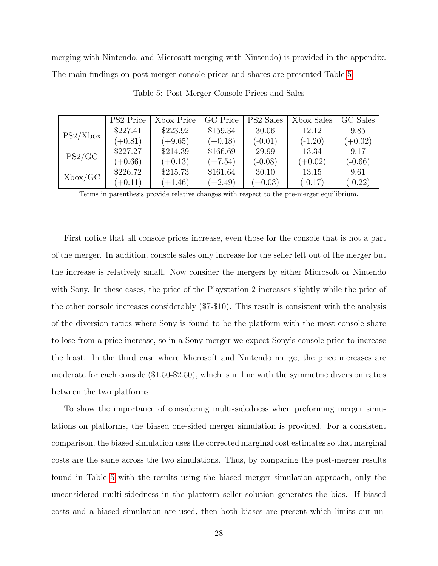<span id="page-28-0"></span>merging with Nintendo, and Microsoft merging with Nintendo) is provided in the appendix. The main findings on post-merger console prices and shares are presented Table [5.](#page-28-0)

|            | PS2 Price | Xbox Price | GC Price  | PS2 Sales | Xbox Sales | GC Sales  |
|------------|-----------|------------|-----------|-----------|------------|-----------|
| PS2/Xbox   | \$227.41  | \$223.92   | \$159.34  | 30.06     | 12.12      | 9.85      |
|            | $(+0.81)$ | $(+9.65)$  | $(+0.18)$ | $(-0.01)$ | $(-1.20)$  | $(+0.02)$ |
|            | \$227.27  | \$214.39   | \$166.69  | 29.99     | 13.34      | 9.17      |
| PS2/GC     | $(+0.66)$ | $(+0.13)$  | $(+7.54)$ | $(-0.08)$ | $(+0.02)$  | $(-0.66)$ |
| $X$ box/GC | \$226.72  | \$215.73   | \$161.64  | 30.10     | 13.15      | 9.61      |
|            | $(+0.11)$ | $(+1.46)$  | $(+2.49)$ | $(+0.03)$ | $(-0.17)$  | $(-0.22)$ |

Table 5: Post-Merger Console Prices and Sales

Terms in parenthesis provide relative changes with respect to the pre-merger equilibrium.

First notice that all console prices increase, even those for the console that is not a part of the merger. In addition, console sales only increase for the seller left out of the merger but the increase is relatively small. Now consider the mergers by either Microsoft or Nintendo with Sony. In these cases, the price of the Playstation 2 increases slightly while the price of the other console increases considerably (\$7-\$10). This result is consistent with the analysis of the diversion ratios where Sony is found to be the platform with the most console share to lose from a price increase, so in a Sony merger we expect Sony's console price to increase the least. In the third case where Microsoft and Nintendo merge, the price increases are moderate for each console (\$1.50-\$2.50), which is in line with the symmetric diversion ratios between the two platforms.

To show the importance of considering multi-sidedness when preforming merger simulations on platforms, the biased one-sided merger simulation is provided. For a consistent comparison, the biased simulation uses the corrected marginal cost estimates so that marginal costs are the same across the two simulations. Thus, by comparing the post-merger results found in Table [5](#page-28-0) with the results using the biased merger simulation approach, only the unconsidered multi-sidedness in the platform seller solution generates the bias. If biased costs and a biased simulation are used, then both biases are present which limits our un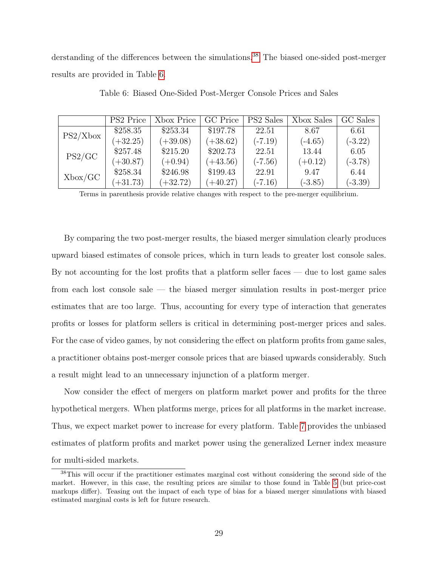<span id="page-29-0"></span>derstanding of the differences between the simulations.<sup>[38](#page-0-0)</sup> The biased one-sided post-merger results are provided in Table [6.](#page-29-0)

|            | PS2 Price  | Xbox Price | <b>GC</b> Price | PS2 Sales | Xbox Sales | GC Sales  |
|------------|------------|------------|-----------------|-----------|------------|-----------|
| PS2/Xbox   | \$258.35   | \$253.34   | \$197.78        | 22.51     | 8.67       | 6.61      |
|            | $(+32.25)$ | $(+39.08)$ | $(+38.62)$      | $(-7.19)$ | $(-4.65)$  | $(-3.22)$ |
| PS2/GC     | \$257.48   | \$215.20   | \$202.73        | 22.51     | 13.44      | 6.05      |
|            | $(+30.87)$ | $(+0.94)$  | $(+43.56)$      | $(-7.56)$ | $(+0.12)$  | $(-3.78)$ |
| $X$ box/GC | \$258.34   | \$246.98   | \$199.43        | 22.91     | 9.47       | 6.44      |
|            | $(+31.73)$ | $(+32.72)$ | $(+40.27)$      | $(-7.16)$ | $(-3.85)$  | $(-3.39)$ |

Table 6: Biased One-Sided Post-Merger Console Prices and Sales

Terms in parenthesis provide relative changes with respect to the pre-merger equilibrium.

By comparing the two post-merger results, the biased merger simulation clearly produces upward biased estimates of console prices, which in turn leads to greater lost console sales. By not accounting for the lost profits that a platform seller faces — due to lost game sales from each lost console sale — the biased merger simulation results in post-merger price estimates that are too large. Thus, accounting for every type of interaction that generates profits or losses for platform sellers is critical in determining post-merger prices and sales. For the case of video games, by not considering the effect on platform profits from game sales, a practitioner obtains post-merger console prices that are biased upwards considerably. Such a result might lead to an unnecessary injunction of a platform merger.

Now consider the effect of mergers on platform market power and profits for the three hypothetical mergers. When platforms merge, prices for all platforms in the market increase. Thus, we expect market power to increase for every platform. Table [7](#page-30-1) provides the unbiased estimates of platform profits and market power using the generalized Lerner index measure for multi-sided markets.

<sup>38</sup>This will occur if the practitioner estimates marginal cost without considering the second side of the market. However, in this case, the resulting prices are similar to those found in Table [5](#page-28-0) (but price-cost markups differ). Teasing out the impact of each type of bias for a biased merger simulations with biased estimated marginal costs is left for future research.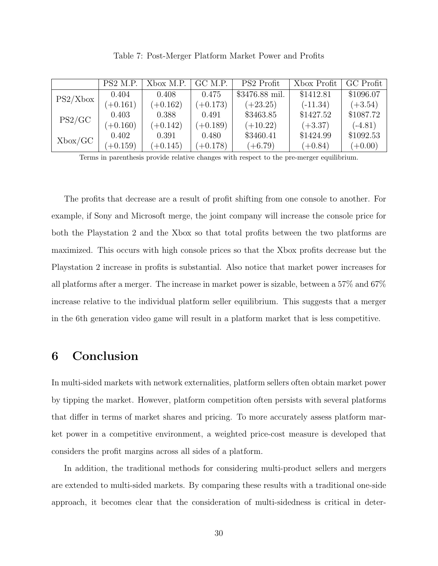<span id="page-30-1"></span>

|            | PS2 M.P.   | Xbox M.P.  | GC M.P.    | PS2 Profit     | Xbox Profit | GC Profit |
|------------|------------|------------|------------|----------------|-------------|-----------|
| PS2/Xbox   | 0.404      | 0.408      | 0.475      | \$3476.88 mil. | \$1412.81   | \$1096.07 |
|            | $(+0.161)$ | $(+0.162)$ | $(+0.173)$ | $(+23.25)$     | $(-11.34)$  | $(+3.54)$ |
|            | 0.403      | 0.388      | 0.491      | \$3463.85      | \$1427.52   | \$1087.72 |
| PS2/GC     | $(+0.160)$ | $(+0.142)$ | $(+0.189)$ | $(+10.22)$     | $(+3.37)$   | $(-4.81)$ |
|            | 0.402      | 0.391      | 0.480      | \$3460.41      | \$1424.99   | \$1092.53 |
| $X$ box/GC | $(+0.159)$ | $(+0.145)$ | $(+0.178)$ | $(+6.79)$      | $(+0.84)$   | $(+0.00)$ |

Table 7: Post-Merger Platform Market Power and Profits

Terms in parenthesis provide relative changes with respect to the pre-merger equilibrium.

The profits that decrease are a result of profit shifting from one console to another. For example, if Sony and Microsoft merge, the joint company will increase the console price for both the Playstation 2 and the Xbox so that total profits between the two platforms are maximized. This occurs with high console prices so that the Xbox profits decrease but the Playstation 2 increase in profits is substantial. Also notice that market power increases for all platforms after a merger. The increase in market power is sizable, between a 57% and 67% increase relative to the individual platform seller equilibrium. This suggests that a merger in the 6th generation video game will result in a platform market that is less competitive.

## <span id="page-30-0"></span>6 Conclusion

In multi-sided markets with network externalities, platform sellers often obtain market power by tipping the market. However, platform competition often persists with several platforms that differ in terms of market shares and pricing. To more accurately assess platform market power in a competitive environment, a weighted price-cost measure is developed that considers the profit margins across all sides of a platform.

In addition, the traditional methods for considering multi-product sellers and mergers are extended to multi-sided markets. By comparing these results with a traditional one-side approach, it becomes clear that the consideration of multi-sidedness is critical in deter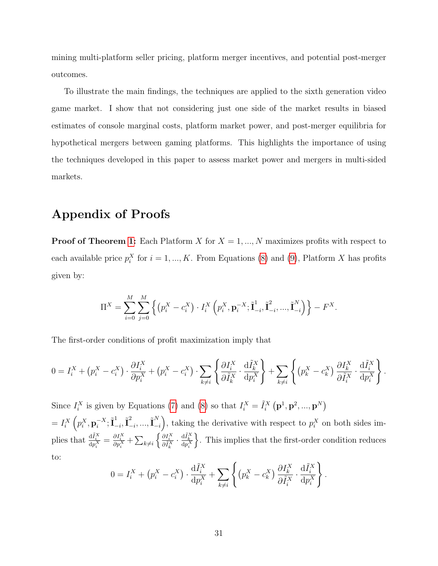mining multi-platform seller pricing, platform merger incentives, and potential post-merger outcomes.

To illustrate the main findings, the techniques are applied to the sixth generation video game market. I show that not considering just one side of the market results in biased estimates of console marginal costs, platform market power, and post-merger equilibria for hypothetical mergers between gaming platforms. This highlights the importance of using the techniques developed in this paper to assess market power and mergers in multi-sided markets.

## Appendix of Proofs

**Proof of Theorem [1:](#page-10-1)** Each Platform X for  $X = 1, ..., N$  maximizes profits with respect to each available price  $p_i^X$  for  $i = 1, ..., K$ . From Equations [\(8\)](#page-9-0) and [\(9\)](#page-9-1), Platform X has profits given by:

$$
\Pi^{X} = \sum_{i=0}^{M} \sum_{j=0}^{M} \left\{ (p_i^{X} - c_i^{X}) \cdot I_i^{X} (p_i^{X}, \mathbf{p}_i^{-X}; \tilde{\mathbf{I}}_{-i}^{1}, \tilde{\mathbf{I}}_{-i}^{2}, ..., \tilde{\mathbf{I}}_{-i}^{N}) \right\} - F^{X}.
$$

The first-order conditions of profit maximization imply that

$$
0 = I_i^X + (p_i^X - c_i^X) \cdot \frac{\partial I_i^X}{\partial p_i^X} + (p_i^X - c_i^X) \cdot \sum_{k \neq i} \left\{ \frac{\partial I_i^X}{\partial \tilde{I}_k^X} \cdot \frac{\partial I_k^X}{\partial p_i^X} \right\} + \sum_{k \neq i} \left\{ (p_k^X - c_k^X) \frac{\partial I_k^X}{\partial \tilde{I}_i^X} \cdot \frac{\partial I_k^X}{\partial p_i^X} \right\}.
$$

Since  $I_i^X$  is given by Equations [\(7\)](#page-9-2) and [\(8\)](#page-9-0) so that  $I_i^X = \tilde{I}_i^X(\mathbf{p}^1, \mathbf{p}^2, ..., \mathbf{p}^N)$ 

 $= I_i^X\left(p_i^X, {\bf p}_i^{-X}\right)$  $_{i}^{-X};\tilde{\mathbf{I}}_{-}^{1}$  $_{-i}^{1},\tilde{\mathbf{I}}_{-}^{2}$  $^2_{-i},...,\tilde{\mathbf{I}}^N_ \binom{N}{i}$ , taking the derivative with respect to  $p_i^X$  on both sides implies that  $\frac{d\tilde{I}_i^X}{dp_i^X} = \frac{\partial I_i^X}{\partial p_i^X} + \sum_{k \neq i} \left\{ \frac{\partial I_i^X}{\partial \tilde{I}_k^X} \cdot \frac{d\tilde{I}_k^X}{dp_i^X} \right\}$ o . This implies that the first-order condition reduces to:

$$
0 = I_i^X + (p_i^X - c_i^X) \cdot \frac{\mathrm{d}\tilde{I}_i^X}{\mathrm{d}p_i^X} + \sum_{k \neq i} \left\{ (p_k^X - c_k^X) \frac{\partial I_k^X}{\partial \tilde{I}_i^X} \cdot \frac{\mathrm{d}\tilde{I}_i^X}{\mathrm{d}p_i^X} \right\}.
$$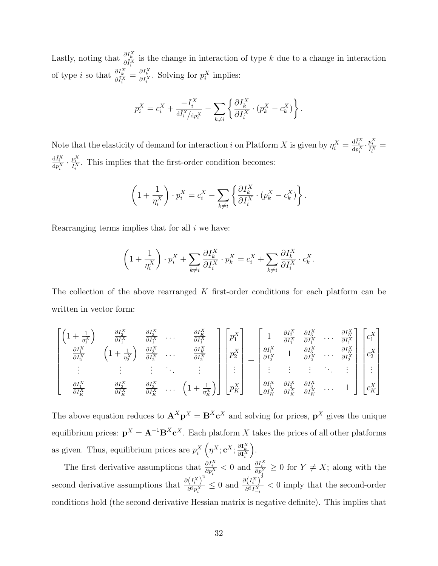Lastly, noting that  $\frac{\partial I_k^X}{\partial \tilde{I}_i^X}$  is the change in interaction of type k due to a change in interaction of type *i* so that  $\frac{\partial I_k^X}{\partial \tilde{I}_i^X} = \frac{\partial I_k^X}{\partial I_i^X}$ . Solving for  $p_i^X$  implies:

$$
p_i^X = c_i^X + \frac{-I_i^X}{\mathrm{d} \tilde{i}_i^X/\mathrm{d} p_i^X} - \sum_{k\neq i} \left\{ \frac{\partial I_k^X}{\partial I_i^X} \cdot (p_k^X - c_k^X) \right\}.
$$

Note that the elasticity of demand for interaction i on Platform X is given by  $\eta_i^X = \frac{d\tilde{I}_i^X}{dp_i^X} \cdot \frac{p_i^X}{\tilde{I}_i^X} =$  $\frac{d\tilde{I}_i^X}{dp_i^X} \cdot \frac{p_i^X}{I_i^X}$ . This implies that the first-order condition becomes:

$$
\left(1+\frac{1}{\eta_i^X}\right)\cdot p_i^X = c_i^X - \sum_{k\neq i} \left\{\frac{\partial I_k^X}{\partial I_i^X}\cdot (p_k^X - c_k^X)\right\}.
$$

Rearranging terms implies that for all  $i$  we have:

$$
\left(1+\frac{1}{\eta_i^X}\right) \cdot p_i^X + \sum_{k \neq i} \frac{\partial I_k^X}{\partial I_i^X} \cdot p_k^X = c_i^X + \sum_{k \neq i} \frac{\partial I_k^X}{\partial I_i^X} \cdot c_k^X.
$$

The collection of the above rearranged  $K$  first-order conditions for each platform can be written in vector form:

$$
\begin{bmatrix}\n\left(1+\frac{1}{\eta_X^X}\right) & \frac{\partial I_2^X}{\partial I_1^X} & \frac{\partial I_3^X}{\partial I_1^X} & \cdots & \frac{\partial I_K^X}{\partial I_1^X} \\
\frac{\partial I_1^X}{\partial I_2^X} & \left(1+\frac{1}{\eta_2^X}\right) & \frac{\partial I_3^X}{\partial I_2^X} & \cdots & \frac{\partial I_K^X}{\partial I_2^X} \\
\vdots & \vdots & \vdots & \ddots & \vdots \\
\frac{\partial I_1^X}{\partial I_K^X} & \frac{\partial I_2^X}{\partial I_K^X} & \frac{\partial I_3^X}{\partial I_K^X} & \cdots & \left(1+\frac{1}{\eta_K^X}\right)\n\end{bmatrix}\n\begin{bmatrix}\np_X^X \\
p_Y^X \\
p_Z^X \\
\vdots \\
p_K^X\n\end{bmatrix}\n=\n\begin{bmatrix}\n1 & \frac{\partial I_2^X}{\partial I_1^X} & \frac{\partial I_3^X}{\partial I_1^X} & \cdots & \frac{\partial I_K^X}{\partial I_2^X} \\
\frac{\partial I_1^X}{\partial I_2^X} & 1 & \frac{\partial I_3^X}{\partial I_2^X} & \cdots & \frac{\partial I_K^X}{\partial I_K^X}\n\end{bmatrix}\n\begin{bmatrix}\nc_1^X \\
c_2^X \\
\vdots \\
c_K^X\n\end{bmatrix}
$$

The above equation reduces to  $\mathbf{A}^X \mathbf{p}^X = \mathbf{B}^X \mathbf{c}^X$  and solving for prices,  $\mathbf{p}^X$  gives the unique equilibrium prices:  $\mathbf{p}^X = \mathbf{A}^{-1} \mathbf{B}^X \mathbf{c}^X$ . Each platform X takes the prices of all other platforms as given. Thus, equilibrium prices are  $p_i^X\left(\eta^X; \mathbf{c}^X; \frac{\partial \mathbf{I}_k^X}{\partial \mathbf{I}_i^X}\right)$ .

The first derivative assumptions that  $\frac{\partial I_i^X}{\partial p_i^X}$  < 0 and  $\frac{\partial I_i^X}{\partial p_i^Y}$  ≥ 0 for  $Y \neq X$ ; along with the second derivative assumptions that  $\frac{\partial {I_i^X}^2}{\partial x \partial x^X}$  $\frac{(I_i^X)^2}{\partial^2 p_i^X} \leq 0$  and  $\frac{\partial (I_i^X)^2}{\partial^2 I_{-i}^X}$  $\frac{\overline{X_i^{\mu_i}}}{\partial^2 I_{-i}^X}$  < 0 imply that the second-order conditions hold (the second derivative Hessian matrix is negative definite). This implies that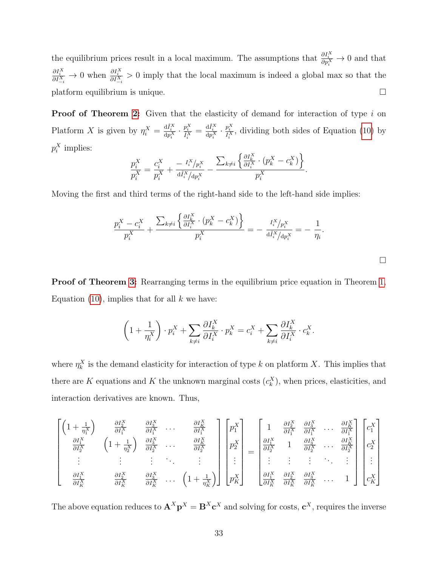the equilibrium prices result in a local maximum. The assumptions that  $\frac{\partial I_i^X}{\partial p_i^X} \to 0$  and that  $\frac{\partial I_i^X}{\partial I_{-i}^X}$  → 0 when  $\frac{\partial I_i^X}{\partial I_{-i}^X}$  > 0 imply that the local maximum is indeed a global max so that the platform equilibrium is unique.

**Proof of Theorem [2:](#page-11-0)** Given that the elasticity of demand for interaction of type  $i$  on Platform X is given by  $\eta_i^X = \frac{d\tilde{I}_i^X}{dp_i^X} \cdot \frac{p_i^X}{\tilde{I}_i^X} = \frac{d\tilde{I}_i^X}{dp_i^X} \cdot \frac{p_i^X}{\tilde{I}_i^X}$ , dividing both sides of Equation [\(10\)](#page-10-0) by  $p_i^X$  implies:

$$
\frac{p_i^X}{p_i^X} = \frac{c_i^X}{p_i^X} + \frac{-l_i^X/p_i^X}{d\tilde{l}_i^X/dp_i^X} - \frac{\sum_{k\neq i} \left\{ \frac{\partial I_k^X}{\partial I_i^X} \cdot (p_k^X - c_k^X) \right\}}{p_i^X}.
$$

Moving the first and third terms of the right-hand side to the left-hand side implies:

$$
\frac{p_i^X - c_i^X}{p_i^X} + \frac{\sum_{k \neq i} \left\{ \frac{\partial I_k^X}{\partial I_i^X} \cdot (p_k^X - c_k^X) \right\}}{p_i^X} = -\frac{I_i^X / p_i^X}{dI_i^X / dp_i^X} = -\frac{1}{\eta_i}.
$$

Proof of Theorem [3:](#page-14-1) Rearranging terms in the equilibrium price equation in Theorem [1,](#page-10-1) Equation  $(10)$ , implies that for all k we have:

$$
\left(1+\frac{1}{\eta_i^X}\right)\cdot p_i^X + \sum_{k\neq i}\frac{\partial I_k^X}{\partial I_i^X}\cdot p_k^X = c_i^X + \sum_{k\neq i}\frac{\partial I_k^X}{\partial I_i^X}\cdot c_k^X.
$$

where  $\eta_k^X$  is the demand elasticity for interaction of type k on platform X. This implies that there are K equations and K the unknown marginal costs  $(c_k^X)$ , when prices, elasticities, and interaction derivatives are known. Thus,

$$
\begin{bmatrix}\n\left(1+\frac{1}{\eta^X}\right) & \frac{\partial I_2^X}{\partial I_1^X} & \frac{\partial I_3^X}{\partial I_1^X} & \cdots & \frac{\partial I_K^X}{\partial I_1^X} \\
\frac{\partial I_1^X}{\partial I_2^X} & \left(1+\frac{1}{\eta^X}\right) & \frac{\partial I_3^X}{\partial I_2^X} & \cdots & \frac{\partial I_K^X}{\partial I_2^X} \\
\vdots & \vdots & \vdots & \ddots & \vdots \\
\frac{\partial I_1^X}{\partial I_K^X} & \frac{\partial I_2^X}{\partial I_K^X} & \frac{\partial I_3^X}{\partial I_K^X} & \cdots & \left(1+\frac{1}{\eta^X_K}\right)\n\end{bmatrix}\n\begin{bmatrix}\np^X \\
p^X \\
p^X \\
\vdots\n\end{bmatrix}\n=\n\begin{bmatrix}\n1 & \frac{\partial I_2^X}{\partial I_1^X} & \frac{\partial I_3^X}{\partial I_1^X} & \cdots & \frac{\partial I_K^X}{\partial I_2^X} \\
\frac{\partial I_1^X}{\partial I_2^X} & 1 & \frac{\partial I_3^X}{\partial I_2^X} & \cdots & \frac{\partial I_K^X}{\partial I_2^X} \\
\vdots & \vdots & \vdots & \ddots & \vdots \\
\frac{\partial I_1^X}{\partial I_K^X} & \frac{\partial I_2^X}{\partial I_K^X} & \frac{\partial I_3^X}{\partial I_K^X} & \cdots & 1\n\end{bmatrix}\n\begin{bmatrix}\nc^X_1 \\
c^X_2 \\
\vdots \\
c^X_K\n\end{bmatrix}
$$

The above equation reduces to  $\mathbf{A}^X \mathbf{p}^X = \mathbf{B}^X \mathbf{c}^X$  and solving for costs,  $\mathbf{c}^X$ , requires the inverse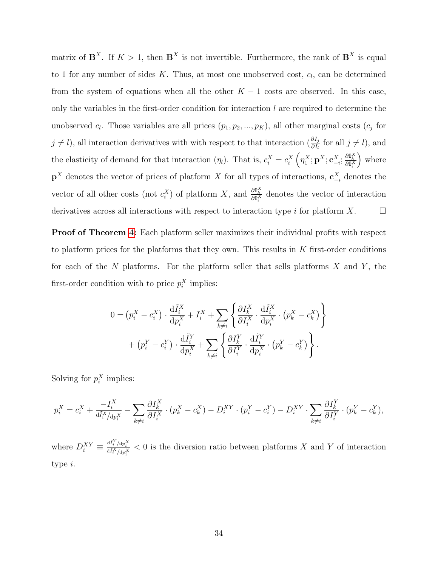matrix of  $\mathbf{B}^X$ . If  $K > 1$ , then  $\mathbf{B}^X$  is not invertible. Furthermore, the rank of  $\mathbf{B}^X$  is equal to 1 for any number of sides  $K$ . Thus, at most one unobserved cost,  $c_l$ , can be determined from the system of equations when all the other  $K - 1$  costs are observed. In this case, only the variables in the first-order condition for interaction  $l$  are required to determine the unobserved  $c_l$ . Those variables are all prices  $(p_1, p_2, ..., p_K)$ , all other marginal costs  $(c_j$  for  $j \neq l$ , all interaction derivatives with with respect to that interaction  $(\frac{\partial I_j}{\partial I_l}$  for all  $j \neq l)$ , and the elasticity of demand for that interaction  $(\eta_l)$ . That is,  $c_i^X = c_i^X \left( \eta_1^X; \mathbf{p}^X; \mathbf{c}_{-i}^X; \frac{\partial \mathbf{I}_k^X}{\partial \mathbf{I}_i^X} \right)$  where  $\mathbf{p}^X$  denotes the vector of prices of platform X for all types of interactions,  $\mathbf{c}_{-i}^X$  denotes the vector of all other costs (not  $c_i^X$ ) of platform X, and  $\frac{\partial \mathbf{I}_k^X}{\partial \mathbf{I}_i^X}$  denotes the vector of interaction derivatives across all interactions with respect to interaction type i for platform  $X$ .  $\Box$ 

Proof of Theorem [4:](#page-16-0) Each platform seller maximizes their individual profits with respect to platform prices for the platforms that they own. This results in  $K$  first-order conditions for each of the  $N$  platforms. For the platform seller that sells platforms  $X$  and  $Y$ , the first-order condition with to price  $p_i^X$  implies:

$$
0 = (p_i^X - c_i^X) \cdot \frac{\mathrm{d}\tilde{I}_i^X}{\mathrm{d}p_i^X} + I_i^X + \sum_{k \neq i} \left\{ \frac{\partial I_k^X}{\partial I_i^X} \cdot \frac{\mathrm{d}\tilde{I}_i^X}{\mathrm{d}p_i^X} \cdot (p_k^X - c_k^X) \right\} + (p_i^Y - c_i^Y) \cdot \frac{\mathrm{d}\tilde{I}_i^Y}{\mathrm{d}p_i^X} + \sum_{k \neq i} \left\{ \frac{\partial I_k^Y}{\partial I_i^Y} \cdot \frac{\mathrm{d}\tilde{I}_i^Y}{\mathrm{d}p_i^X} \cdot (p_k^Y - c_k^Y) \right\}.
$$

Solving for  $p_i^X$  implies:

$$
p_i^X = c_i^X + \frac{-I_i^X}{\mathrm{d}\tilde{i}_i^X/\mathrm{d}p_i^X} - \sum_{k \neq i} \frac{\partial I_k^X}{\partial I_i^X} \cdot (p_k^X - c_k^X) - D_i^{XY} \cdot (p_i^Y - c_i^Y) - D_i^{XY} \cdot \sum_{k \neq i} \frac{\partial I_k^Y}{\partial I_i^Y} \cdot (p_k^Y - c_k^Y),
$$

where  $D_i^{XY} \equiv \frac{d_i^Y/a_{p_i^X}}{d_i^X/a_{p_i^X}} < 0$  is the diversion ratio between platforms X and Y of interaction type i.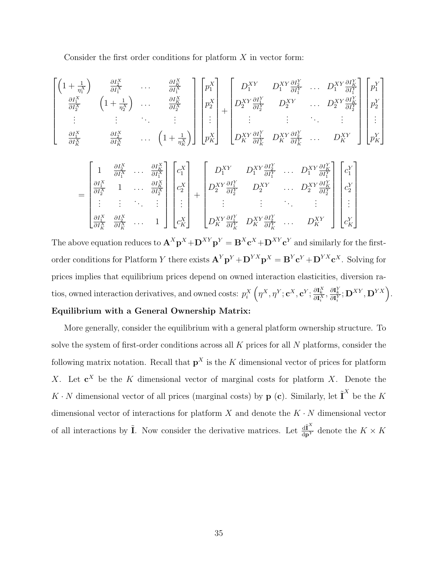Consider the first order conditions for platform  $X$  in vector form:

$$
\begin{bmatrix}\n\left(1+\frac{1}{\eta_1^X}\right) & \frac{\partial I_2^X}{\partial I_1^X} & \cdots & \frac{\partial I_K^X}{\partial I_1^X} \\
\frac{\partial I_1^X}{\partial I_2^X} & \left(1+\frac{1}{\eta_2^X}\right) & \cdots & \frac{\partial I_K^X}{\partial I_2^X} \\
\vdots & \vdots & \ddots & \vdots \\
\frac{\partial I_1^X}{\partial I_K^X} & \frac{\partial I_2^X}{\partial I_K^X} & \cdots & \left(1+\frac{1}{\eta_K^X}\right)\n\end{bmatrix}\n\begin{bmatrix}\np_1^X \\
p_2^X \\
p_3^X\n\end{bmatrix} +\n\begin{bmatrix}\nD_1^{XY} & D_1^{XY} \frac{\partial I_2^Y}{\partial I_1^Y} & \cdots & D_1^{XY} \frac{\partial I_K^Y}{\partial I_1^Y} \\
D_2^{XY} \frac{\partial I_1^Y}{\partial I_2^Y} & D_2^{XY} & \cdots & D_2^{XY} \frac{\partial I_K^Y}{\partial I_2^Y} \\
\vdots & \vdots & \ddots & \vdots \\
D_K^{XY} \frac{\partial I_1^X}{\partial I_K^X} & D_K^{XY} \frac{\partial I_2^X}{\partial I_K^X} & \cdots & D_K^{XY}\n\end{bmatrix}\n\begin{bmatrix}\np_1^Y \\
p_2^Y \\
\vdots \\
p_K^{XY}\n\end{bmatrix}
$$
\n
$$
= \begin{bmatrix}\n1 & \frac{\partial I_2^X}{\partial I_1^X} & \cdots & \frac{\partial I_K^X}{\partial I_1^X} \\
\frac{\partial I_1^X}{\partial I_1^X} & 1 & \cdots & \frac{\partial I_K^X}{\partial I_2^X} \\
\vdots & \vdots & \ddots & \vdots \\
\frac{\partial I_1^X}{\partial I_K^X} & \frac{\partial I_2^X}{\partial I_K^X} & \cdots & 1\n\end{bmatrix}\n\begin{bmatrix}\nc_1^X \\
c_2^X \\
\vdots \\
c_K^X\n\end{bmatrix} +\n\begin{bmatrix}\nD_1^{XY} & D_1^{XY} \frac{\partial I_1^Y}{\partial I_K^Y} & D_2^{XY} \frac{\partial I_K^Y}{\partial I_K^Y} & \cdots & D_K^{XY} \frac{\
$$

The above equation reduces to  $\mathbf{A}^{X} \mathbf{p}^{X} + \mathbf{D}^{XY} \mathbf{p}^{Y} = \mathbf{B}^{X} \mathbf{c}^{X} + \mathbf{D}^{XY} \mathbf{c}^{Y}$  and similarly for the firstorder conditions for Platform Y there exists  $\mathbf{A}^Y \mathbf{p}^Y + \mathbf{D}^{YX} \mathbf{p}^X = \mathbf{B}^Y \mathbf{c}^Y + \mathbf{D}^{YX} \mathbf{c}^X$ . Solving for prices implies that equilibrium prices depend on owned interaction elasticities, diversion ratios, owned interaction derivatives, and owned costs:  $p_i^X\left(\eta^X, \eta^Y; \mathbf{c}^X, \mathbf{c}^Y; \frac{\partial \mathbf{I}_k^X}{\partial \mathbf{I}_i^X}, \frac{\partial \mathbf{I}_k^Y}{\partial \mathbf{I}_i^Y}; \mathbf{D}^{XY}, \mathbf{D}^{YX}\right)$ . Equilibrium with a General Ownership Matrix:

# More generally, consider the equilibrium with a general platform ownership structure. To solve the system of first-order conditions across all K prices for all N platforms, consider the following matrix notation. Recall that  $p^X$  is the K dimensional vector of prices for platform

X. Let  $\mathbf{c}^X$  be the K dimensional vector of marginal costs for platform X. Denote the  $K \cdot N$  dimensional vector of all prices (marginal costs) by **p** (c). Similarly, let  $\tilde{\mathbf{I}}^X$  be the K dimensional vector of interactions for platform  $X$  and denote the  $K \cdot N$  dimensional vector of all interactions by  $\tilde{\mathbf{I}}$ . Now consider the derivative matrices. Let  $\frac{d\tilde{\mathbf{I}}^X}{dp^Y}$  denote the  $K \times K$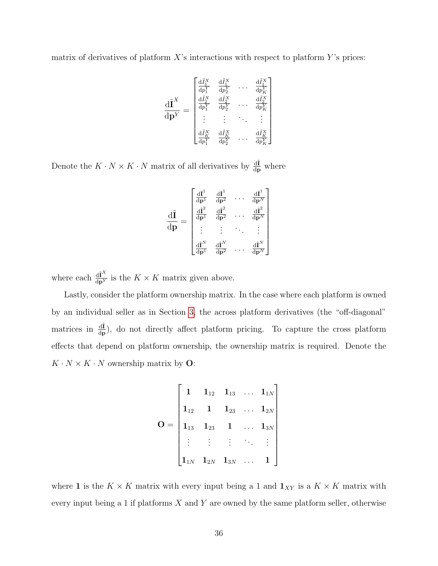matrix of derivatives of platform  $X$ 's interactions with respect to platform  $Y$ 's prices:

$$
\frac{\mathrm{d}\tilde{\mathbf{I}}^{X}}{\mathrm{d}\mathbf{p}^{Y}} = \begin{bmatrix}\n\frac{\mathrm{d}\tilde{I}_{1}^{X}}{\mathrm{d}p_{1}^{Y}} & \frac{\mathrm{d}\tilde{I}_{1}^{X}}{\mathrm{d}p_{2}^{Y}} & \cdots & \frac{\mathrm{d}\tilde{I}_{1}^{X}}{\mathrm{d}p_{K}^{Y}} \\
\frac{\mathrm{d}\tilde{I}_{2}^{X}}{\mathrm{d}p_{1}^{Y}} & \frac{\mathrm{d}\tilde{I}_{2}^{X}}{\mathrm{d}p_{2}^{Y}} & \cdots & \frac{\mathrm{d}\tilde{I}_{2}^{X}}{\mathrm{d}p_{K}^{Y}} \\
\vdots & \vdots & \ddots & \vdots \\
\frac{\mathrm{d}\tilde{I}_{K}^{X}}{\mathrm{d}p_{1}^{Y}} & \frac{\mathrm{d}\tilde{I}_{K}^{X}}{\mathrm{d}p_{2}^{Y}} & \cdots & \frac{\mathrm{d}\tilde{I}_{K}^{X}}{\mathrm{d}p_{K}^{Y}}\n\end{bmatrix}
$$

Denote the  $K \cdot N \times K \cdot N$  matrix of all derivatives by  $\frac{d\tilde{I}}{dp}$  where

$$
\frac{\mathrm{d}\tilde{\mathbf{I}}}{\mathrm{d}\mathbf{p}} = \begin{bmatrix}\frac{\mathrm{d}\tilde{\mathbf{I}}^1}{\mathrm{d}\mathbf{p}^1} & \frac{\mathrm{d}\tilde{\mathbf{I}}^1}{\mathrm{d}\mathbf{p}^2} & \cdots & \frac{\mathrm{d}\tilde{\mathbf{I}}^1}{\mathrm{d}\mathbf{p}^N} \\
\frac{\mathrm{d}\tilde{\mathbf{I}}}{\mathrm{d}\mathbf{p}^1} & \frac{\mathrm{d}\tilde{\mathbf{I}}^2}{\mathrm{d}\mathbf{p}^2} & \cdots & \frac{\mathrm{d}\tilde{\mathbf{I}}^2}{\mathrm{d}\mathbf{p}^N} \\
\vdots & \vdots & \ddots & \vdots \\
\frac{\mathrm{d}\tilde{\mathbf{I}}^N}{\mathrm{d}\mathbf{p}^1} & \frac{\mathrm{d}\tilde{\mathbf{I}}^N}{\mathrm{d}\mathbf{p}^2} & \cdots & \frac{\mathrm{d}\tilde{\mathbf{I}}^N}{\mathrm{d}\mathbf{p}^N}\end{bmatrix}
$$

where each  $\frac{d\tilde{I}^X}{dp^Y}$  is the  $K \times K$  matrix given above.

Lastly, consider the platform ownership matrix. In the case where each platform is owned by an individual seller as in Section [3,](#page-6-0) the across platform derivatives (the "off-diagonal" matrices in  $\frac{d\tilde{I}}{dp}$ , do not directly affect platform pricing. To capture the cross platform effects that depend on platform ownership, the ownership matrix is required. Denote the  $K \cdot N \times K \cdot N$  ownership matrix by  $\mathbf{O}:$ 

$$
\mathbf{O} = \begin{bmatrix} 1 & 1_{12} & 1_{13} & \dots & 1_{1N} \\ 1_{12} & 1 & 1_{23} & \dots & 1_{2N} \\ 1_{13} & 1_{23} & 1 & \dots & 1_{3N} \\ \vdots & \vdots & \vdots & \ddots & \vdots \\ 1_{1N} & 1_{2N} & 1_{3N} & \dots & 1 \end{bmatrix}
$$

where **1** is the  $K \times K$  matrix with every input being a 1 and  $\mathbf{1}_{XY}$  is a  $K \times K$  matrix with every input being a 1 if platforms  $X$  and  $Y$  are owned by the same platform seller, otherwise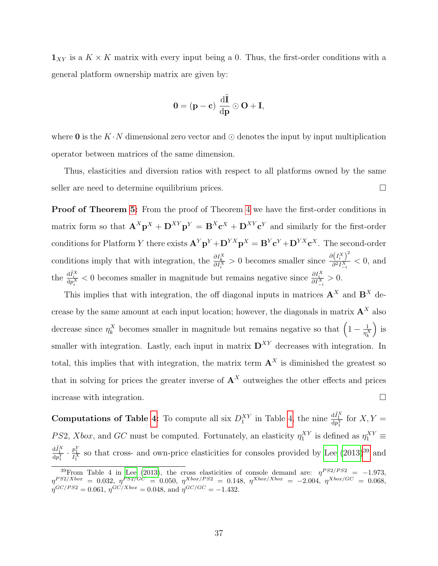$\mathbf{1}_{XY}$  is a  $K \times K$  matrix with every input being a 0. Thus, the first-order conditions with a general platform ownership matrix are given by:

$$
0=(\mathbf{p}-\mathbf{c})\;\frac{\mathrm{d}\tilde{I}}{\mathrm{d}\mathbf{p}}\odot\mathbf{O}+\mathbf{I},
$$

where **0** is the  $K \cdot N$  dimensional zero vector and  $\odot$  denotes the input by input multiplication operator between matrices of the same dimension.

Thus, elasticities and diversion ratios with respect to all platforms owned by the same seller are need to determine equilibrium prices.

Proof of Theorem [5:](#page-18-0) From the proof of Theorem [4](#page-16-0) we have the first-order conditions in matrix form so that  $\mathbf{A}^X \mathbf{p}^X + \mathbf{D}^{XY} \mathbf{p}^Y = \mathbf{B}^X \mathbf{c}^X + \mathbf{D}^{XY} \mathbf{c}^Y$  and similarly for the first-order conditions for Platform Y there exists  $\mathbf{A}^Y \mathbf{p}^Y + \mathbf{D}^{YX} \mathbf{p}^X = \mathbf{B}^Y \mathbf{c}^Y + \mathbf{D}^{YX} \mathbf{c}^X$ . The second-order conditions imply that with integration, the  $\frac{\partial I_k^X}{\partial I_i^X} > 0$  becomes smaller since  $\frac{\partial (I_i^X)^2}{\partial^2 I_{-i}^X}$  $\frac{\overline{X_i}^i}{\partial^2 I_{-i}^X}$  < 0, and the  $\frac{dI_i^X}{dp_i^X} < 0$  becomes smaller in magnitude but remains negative since  $\frac{\partial I_i^X}{\partial I_{-i}^X} > 0$ .

This implies that with integration, the off diagonal inputs in matrices  $A^X$  and  $B^X$  decrease by the same amount at each input location; however, the diagonals in matrix  $A^X$  also decrease since  $\eta_k^X$  becomes smaller in magnitude but remains negative so that  $\left(1 - \frac{1}{n^2}\right)$  $\overline{\eta^X_k}$  $\big)$  is smaller with integration. Lastly, each input in matrix  $D^{XY}$  decreases with integration. In total, this implies that with integration, the matrix term  $A<sup>X</sup>$  is diminished the greatest so that in solving for prices the greater inverse of  $A<sup>X</sup>$  outweighes the other effects and prices increase with integration.  $\Box$ 

**Computations of Table [4:](#page-26-0)** To compute all six  $D_1^{XY}$  in Table [4,](#page-26-0) the nine  $\frac{dI_1^X}{dp_1^Y}$  for  $X, Y =$ PS2, Xbox, and GC must be computed. Fortunately, an elasticity  $\eta_1^{XY}$  is defined as  $\eta_1^{XY} \equiv$  $\frac{dI_1^X}{dp_1^Y} \cdot \frac{p_1^Y}{I_1^X}$  so that cross- and own-price elasticities for consoles provided by [Lee](#page-42-3)  $(2013)^{39}$  $(2013)^{39}$  $(2013)^{39}$  $(2013)^{39}$  and

<sup>&</sup>lt;sup>39</sup>From Table 4 in [Lee](#page-42-3) [\(2013\)](#page-42-3), the cross elasticities of console demand are:  $\eta^{PS2/PS2} = -1.973$ ,  $\eta^{PS2/Xbox}~=~0.032,~\eta^{PS2/GC}~=~0.050,~\eta^{Xbox/PS2}~=~0.148,~\eta^{Xbox/Xbox}~=~-2.004,~\eta^{Xbox/GC}~=~0.068,$  $\eta^{GC/PS2} = 0.061$ ,  $\eta^{GC/Xbox} = 0.048$ , and  $\eta^{GC/GC} = -1.432$ .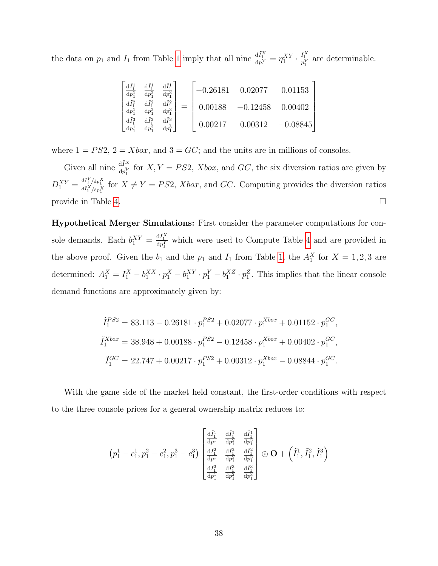the data on  $p_1$  and  $I_1$  from Table [1](#page-21-0) imply that all nine  $\frac{dI_1^X}{dp_1^Y} = \eta_1^{XY} \cdot \frac{I_1^X}{p_1^Y}$  are determinable.

| $\underline{\mathrm{d}} \underline{I}_i^1$<br>$dp_1^1$ | $\frac{\mathrm{d} \tilde{I}_1^1}{\mathrm{d} p_1^2}$ | $\frac{\mathrm{d} \tilde{I}_1^1}{\mathrm{d} p_1^3}$ |     | $-0.26181$ | 0.02077                        | 0.01153            |
|--------------------------------------------------------|-----------------------------------------------------|-----------------------------------------------------|-----|------------|--------------------------------|--------------------|
| $\frac{\mathrm{d}\tilde{I}_1^2}{\mathrm{d}p_1^1}$      | $\frac{\mathrm{d} \tilde{I}_1^2}{\mathrm{d} p_1^2}$ | $\frac{\mathrm{d} \tilde{I}_1^2}{\mathrm{d} p_1^3}$ | $=$ |            | $0.00188$ $-0.12458$ $0.00402$ |                    |
| $\frac{\mathrm{d}\tilde{I}_1^3}{\mathrm{d}p_1^1}$      | $\frac{\mathrm{d}\tilde{I}_1^3}{\mathrm{d}p_1^2}$   | $\frac{\mathrm{d} \tilde{I}_1^3}{\mathrm{d} p_1^3}$ |     | 0.00217    |                                | $0.00312 -0.08845$ |

where  $1 = PS2$ ,  $2 = Xbox$ , and  $3 = GC$ ; and the units are in millions of consoles.

Given all nine  $\frac{dI_1^X}{dp_1^Y}$  for  $X, Y = PS2$ ,  $Xbox$ , and  $GC$ , the six diversion ratios are given by  $D_1^{XY} = \frac{dI_1^Y}{dI_1^X/dp_1^X}$  for  $X \neq Y = PS2$ , *Xbox*, and *GC*. Computing provides the diversion ratios provide in Table [4.](#page-26-0)  $\Box$ 

Hypothetical Merger Simulations: First consider the parameter computations for console demands. Each  $b_1^{XY} = \frac{dI_1^X}{dp_1^Y}$  which were used to Compute Table [4](#page-26-0) and are provided in the above proof. Given the  $b_1$  and the  $p_1$  and  $I_1$  from Table [1,](#page-21-0) the  $A_1^X$  for  $X = 1, 2, 3$  are determined:  $A_1^X = I_1^X - b_1^{XX} \cdot p_1^X - b_1^{XY} \cdot p_1^Y - b_1^{XZ} \cdot p_1^Z$ . This implies that the linear console demand functions are approximately given by:

$$
\tilde{I}_1^{PS2} = 83.113 - 0.26181 \cdot p_1^{PS2} + 0.02077 \cdot p_1^{Xbox} + 0.01152 \cdot p_1^{GC},
$$
\n
$$
\tilde{I}_1^{Xbox} = 38.948 + 0.00188 \cdot p_1^{PS2} - 0.12458 \cdot p_1^{Xbox} + 0.00402 \cdot p_1^{GC},
$$
\n
$$
\tilde{I}_1^{GC} = 22.747 + 0.00217 \cdot p_1^{PS2} + 0.00312 \cdot p_1^{Xbox} - 0.08844 \cdot p_1^{GC}.
$$

With the game side of the market held constant, the first-order conditions with respect to the three console prices for a general ownership matrix reduces to:

$$
\left(p_1^1 - c_1^1, p_1^2 - c_1^2, p_1^3 - c_1^3\right) \begin{bmatrix} \frac{\mathrm{d}\tilde{I}_1^1}{\mathrm{d}p_1^1} & \frac{\mathrm{d}\tilde{I}_1^1}{\mathrm{d}p_1^2} & \frac{\mathrm{d}\tilde{I}_1^1}{\mathrm{d}p_1^2} \\ \frac{\mathrm{d}\tilde{I}_2^2}{\mathrm{d}p_1^1} & \frac{\mathrm{d}\tilde{I}_2^2}{\mathrm{d}p_1^2} & \frac{\mathrm{d}\tilde{I}_2^2}{\mathrm{d}p_1^3} \\ \frac{\mathrm{d}\tilde{I}_1^3}{\mathrm{d}p_1^1} & \frac{\mathrm{d}\tilde{I}_1^3}{\mathrm{d}p_1^2} & \frac{\mathrm{d}\tilde{I}_1^3}{\mathrm{d}p_1^3} \end{bmatrix} \odot \mathbf{O} + \left(\tilde{I}_1^1, \tilde{I}_1^2, \tilde{I}_1^3\right)
$$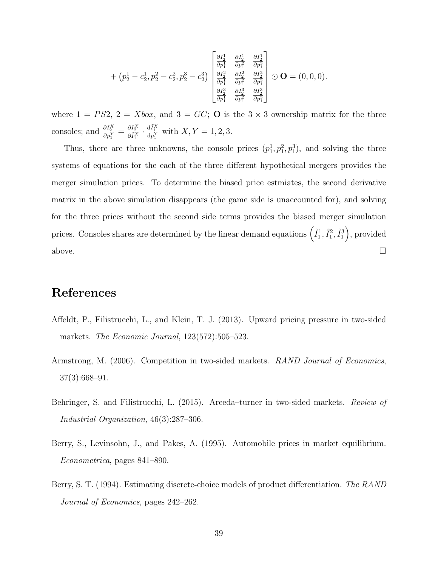$$
+\left(p_2^1-c_2^1,p_2^2-c_2^2,p_2^3-c_2^3\right)\begin{bmatrix} \frac{\partial I_2^1}{\partial p_1^1} & \frac{\partial I_2^1}{\partial p_1^2} & \frac{\partial I_2^1}{\partial p_1^3} \\ \frac{\partial I_2^2}{\partial p_1^1} & \frac{\partial I_2^2}{\partial p_1^2} & \frac{\partial I_2^2}{\partial p_1^3} \\ \frac{\partial I_2^3}{\partial p_1^1} & \frac{\partial I_2^3}{\partial p_1^2} & \frac{\partial I_2^3}{\partial p_1^3} \end{bmatrix} \odot \mathbf{O} = (0,0,0).
$$

where  $1 = PS2$ ,  $2 = Xbox$ , and  $3 = GC$ ; **O** is the  $3 \times 3$  ownership matrix for the three consoles; and  $\frac{\partial I_2^X}{\partial p_1^Y} = \frac{\partial I_2^X}{\partial \tilde{I}_1^X} \cdot \frac{dI_1^X}{dp_1^Y}$  with  $X, Y = 1, 2, 3$ .

Thus, there are three unknowns, the console prices  $(p_1^1, p_1^2, p_1^3)$ , and solving the three systems of equations for the each of the three different hypothetical mergers provides the merger simulation prices. To determine the biased price estmiates, the second derivative matrix in the above simulation disappears (the game side is unaccounted for), and solving for the three prices without the second side terms provides the biased merger simulation prices. Consoles shares are determined by the linear demand equations  $(\tilde{I}_1^1, \tilde{I}_1^2, \tilde{I}_1^3)$ , provided above.  $\Box$ 

## References

- <span id="page-39-1"></span>Affeldt, P., Filistrucchi, L., and Klein, T. J. (2013). Upward pricing pressure in two-sided markets. The Economic Journal, 123(572):505–523.
- <span id="page-39-0"></span>Armstrong, M. (2006). Competition in two-sided markets. RAND Journal of Economics, 37(3):668–91.
- <span id="page-39-2"></span>Behringer, S. and Filistrucchi, L. (2015). Areeda–turner in two-sided markets. Review of Industrial Organization, 46(3):287–306.
- <span id="page-39-4"></span>Berry, S., Levinsohn, J., and Pakes, A. (1995). Automobile prices in market equilibrium. Econometrica, pages 841–890.
- <span id="page-39-3"></span>Berry, S. T. (1994). Estimating discrete-choice models of product differentiation. The RAND Journal of Economics, pages 242–262.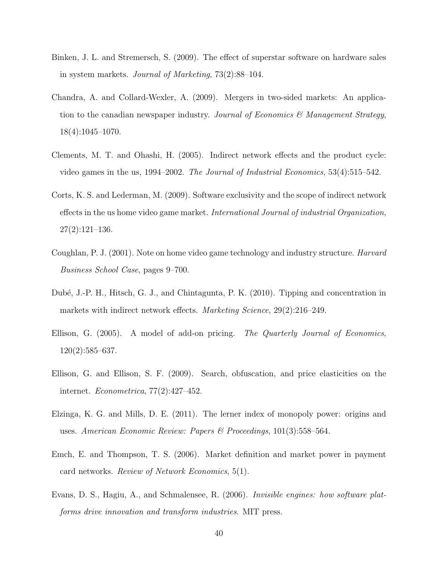- <span id="page-40-5"></span>Binken, J. L. and Stremersch, S. (2009). The effect of superstar software on hardware sales in system markets. Journal of Marketing, 73(2):88–104.
- <span id="page-40-3"></span>Chandra, A. and Collard-Wexler, A. (2009). Mergers in two-sided markets: An application to the canadian newspaper industry. Journal of Economics  $\mathscr{C}$  Management Strategy, 18(4):1045–1070.
- <span id="page-40-10"></span>Clements, M. T. and Ohashi, H. (2005). Indirect network effects and the product cycle: video games in the us, 1994–2002. The Journal of Industrial Economics, 53(4):515–542.
- <span id="page-40-6"></span>Corts, K. S. and Lederman, M. (2009). Software exclusivity and the scope of indirect network effects in the us home video game market. International Journal of industrial Organization,  $27(2):121-136.$
- <span id="page-40-9"></span>Coughlan, P. J. (2001). Note on home video game technology and industry structure. Harvard Business School Case, pages 9–700.
- <span id="page-40-4"></span>Dub´e, J.-P. H., Hitsch, G. J., and Chintagunta, P. K. (2010). Tipping and concentration in markets with indirect network effects. Marketing Science, 29(2):216–249.
- <span id="page-40-0"></span>Ellison, G. (2005). A model of add-on pricing. The Quarterly Journal of Economics, 120(2):585–637.
- <span id="page-40-1"></span>Ellison, G. and Ellison, S. F. (2009). Search, obfuscation, and price elasticities on the internet. Econometrica, 77(2):427–452.
- <span id="page-40-7"></span>Elzinga, K. G. and Mills, D. E. (2011). The lerner index of monopoly power: origins and uses. American Economic Review: Papers & Proceedings, 101(3):558–564.
- <span id="page-40-2"></span>Emch, E. and Thompson, T. S. (2006). Market definition and market power in payment card networks. Review of Network Economics, 5(1).
- <span id="page-40-8"></span>Evans, D. S., Hagiu, A., and Schmalensee, R. (2006). Invisible engines: how software platforms drive innovation and transform industries. MIT press.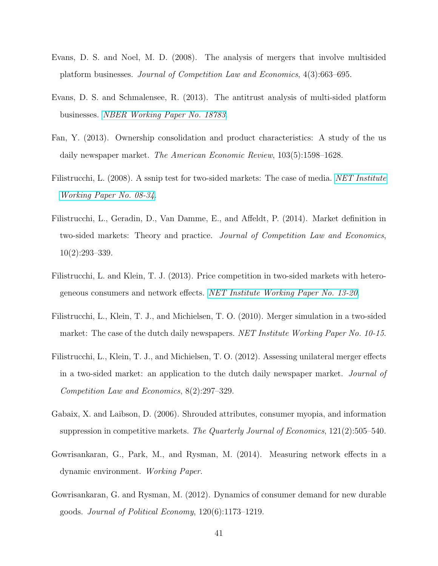- <span id="page-41-4"></span>Evans, D. S. and Noel, M. D. (2008). The analysis of mergers that involve multisided platform businesses. Journal of Competition Law and Economics, 4(3):663–695.
- <span id="page-41-7"></span>Evans, D. S. and Schmalensee, R. (2013). The antitrust analysis of multi-sided platform businesses. [NBER Working Paper No. 18783](http://www.nber.org/papers/w18783).
- <span id="page-41-8"></span>Fan, Y. (2013). Ownership consolidation and product characteristics: A study of the us daily newspaper market. The American Economic Review, 103(5):1598–1628.
- <span id="page-41-5"></span>Filistrucchi, L. (2008). A ssnip test for two-sided markets: The case of media. [NET Institute](http://ssrn.com/abstract=1287442) [Working Paper No. 08-34](http://ssrn.com/abstract=1287442).
- <span id="page-41-3"></span>Filistrucchi, L., Geradin, D., Van Damme, E., and Affeldt, P. (2014). Market definition in two-sided markets: Theory and practice. Journal of Competition Law and Economics, 10(2):293–339.
- <span id="page-41-2"></span>Filistrucchi, L. and Klein, T. J. (2013). Price competition in two-sided markets with heterogeneous consumers and network effects. [NET Institute Working Paper No. 13-20](http://ssrn.com/abstract=2336411).
- <span id="page-41-6"></span>Filistrucchi, L., Klein, T. J., and Michielsen, T. O. (2010). Merger simulation in a two-sided market: The case of the dutch daily newspapers. NET Institute Working Paper No. 10-15.
- <span id="page-41-1"></span>Filistrucchi, L., Klein, T. J., and Michielsen, T. O. (2012). Assessing unilateral merger effects in a two-sided market: an application to the dutch daily newspaper market. Journal of Competition Law and Economics, 8(2):297–329.
- <span id="page-41-0"></span>Gabaix, X. and Laibson, D. (2006). Shrouded attributes, consumer myopia, and information suppression in competitive markets. The Quarterly Journal of Economics,  $121(2):505-540$ .
- <span id="page-41-10"></span>Gowrisankaran, G., Park, M., and Rysman, M. (2014). Measuring network effects in a dynamic environment. Working Paper.
- <span id="page-41-9"></span>Gowrisankaran, G. and Rysman, M. (2012). Dynamics of consumer demand for new durable goods. Journal of Political Economy, 120(6):1173–1219.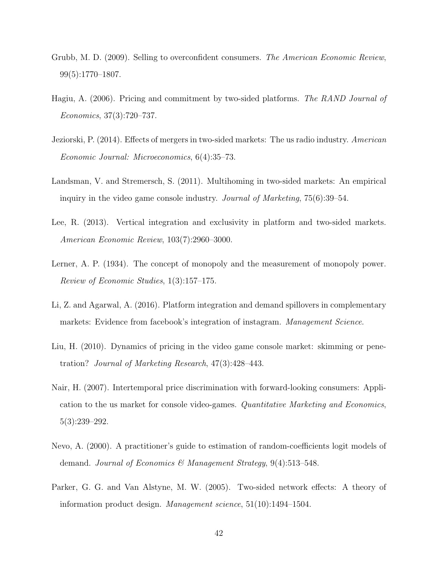- <span id="page-42-2"></span>Grubb, M. D. (2009). Selling to overconfident consumers. The American Economic Review, 99(5):1770–1807.
- <span id="page-42-1"></span>Hagiu, A. (2006). Pricing and commitment by two-sided platforms. The RAND Journal of Economics, 37(3):720–737.
- <span id="page-42-5"></span>Jeziorski, P. (2014). Effects of mergers in two-sided markets: The us radio industry. American Economic Journal: Microeconomics, 6(4):35–73.
- <span id="page-42-8"></span>Landsman, V. and Stremersch, S. (2011). Multihoming in two-sided markets: An empirical inquiry in the video game console industry. Journal of Marketing, 75(6):39–54.
- <span id="page-42-3"></span>Lee, R. (2013). Vertical integration and exclusivity in platform and two-sided markets. American Economic Review, 103(7):2960–3000.
- <span id="page-42-9"></span>Lerner, A. P. (1934). The concept of monopoly and the measurement of monopoly power. Review of Economic Studies, 1(3):157–175.
- <span id="page-42-4"></span>Li, Z. and Agarwal, A. (2016). Platform integration and demand spillovers in complementary markets: Evidence from facebook's integration of instagram. Management Science.
- <span id="page-42-7"></span>Liu, H. (2010). Dynamics of pricing in the video game console market: skimming or penetration? Journal of Marketing Research, 47(3):428–443.
- <span id="page-42-6"></span>Nair, H. (2007). Intertemporal price discrimination with forward-looking consumers: Application to the us market for console video-games. Quantitative Marketing and Economics, 5(3):239–292.
- <span id="page-42-10"></span>Nevo, A. (2000). A practitioner's guide to estimation of random-coefficients logit models of demand. Journal of Economics & Management Strategy,  $9(4):513-548$ .
- <span id="page-42-0"></span>Parker, G. G. and Van Alstyne, M. W. (2005). Two-sided network effects: A theory of information product design. Management science, 51(10):1494–1504.